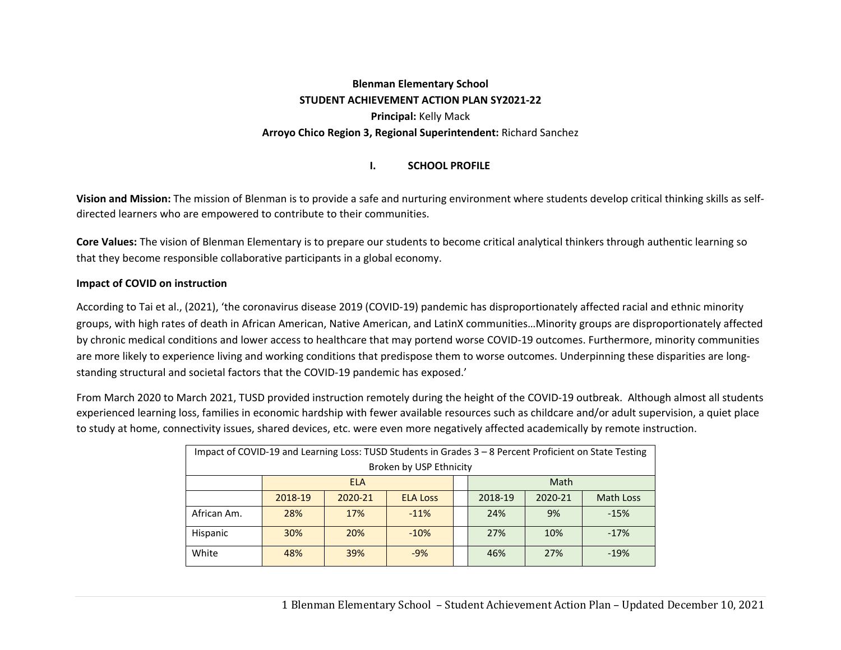# **Blenman Elementary School STUDENT ACHIEVEMENT ACTION PLAN SY2021‐22 Principal:** Kelly Mack **Arroyo Chico Region 3, Regional Superintendent:** Richard Sanchez

#### **I.SCHOOL PROFILE**

**Vision and Mission:** The mission of Blenman is to provide a safe and nurturing environment where students develop critical thinking skills as self‐ directed learners who are empowered to contribute to their communities.

**Core Values:** The vision of Blenman Elementary is to prepare our students to become critical analytical thinkers through authentic learning so that they become responsible collaborative participants in a global economy.

#### **Impact of COVID on instruction**

According to Tai et al., (2021), 'the coronavirus disease 2019 (COVID‐19) pandemic has disproportionately affected racial and ethnic minority groups, with high rates of death in African American, Native American, and LatinX communities…Minority groups are disproportionately affected by chronic medical conditions and lower access to healthcare that may portend worse COVID‐19 outcomes. Furthermore, minority communities are more likely to experience living and working conditions that predispose them to worse outcomes. Underpinning these disparities are longstanding structural and societal factors that the COVID‐19 pandemic has exposed.'

From March 2020 to March 2021, TUSD provided instruction remotely during the height of the COVID‐19 outbreak. Although almost all students experienced learning loss, families in economic hardship with fewer available resources such as childcare and/or adult supervision, a quiet place to study at home, connectivity issues, shared devices, etc. were even more negatively affected academically by remote instruction.

| Impact of COVID-19 and Learning Loss: TUSD Students in Grades 3 - 8 Percent Proficient on State Testing |                         |            |                 |  |         |         |           |
|---------------------------------------------------------------------------------------------------------|-------------------------|------------|-----------------|--|---------|---------|-----------|
|                                                                                                         | Broken by USP Ethnicity |            |                 |  |         |         |           |
|                                                                                                         |                         | <b>ELA</b> |                 |  |         | Math    |           |
|                                                                                                         | 2018-19                 | 2020-21    | <b>ELA Loss</b> |  | 2018-19 | 2020-21 | Math Loss |
| African Am.                                                                                             | 28%                     | 17%        | $-11%$          |  | 24%     | 9%      | $-15%$    |
| Hispanic                                                                                                | 30%                     | 20%        | $-10%$          |  | 27%     | 10%     | $-17%$    |
| White                                                                                                   | 48%                     | 39%        | $-9%$           |  | 46%     | 27%     | $-19%$    |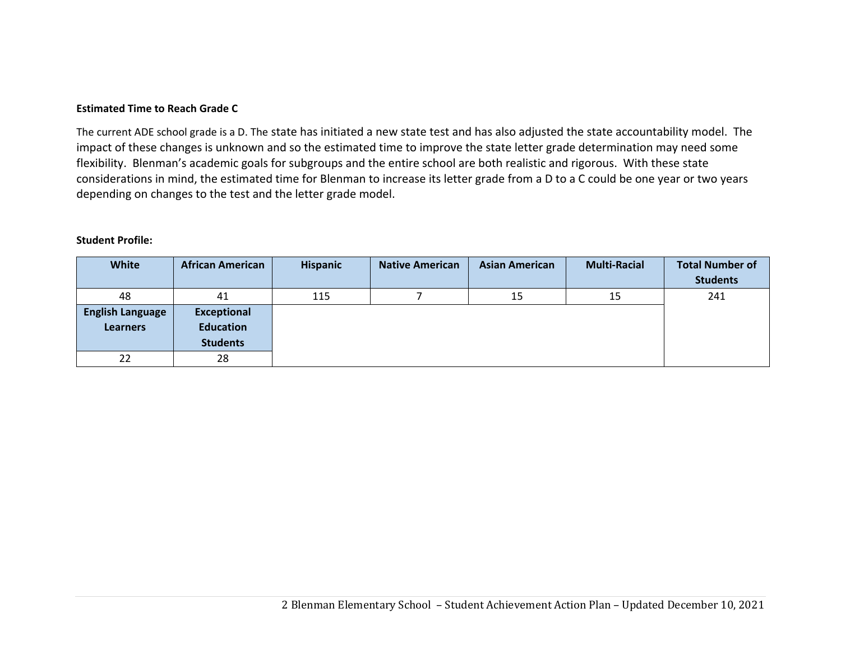#### **Estimated Time to Reach Grade C**

The current ADE school grade is a D. The state has initiated a new state test and has also adjusted the state accountability model. The impact of these changes is unknown and so the estimated time to improve the state letter grade determination may need some flexibility. Blenman's academic goals for subgroups and the entire school are both realistic and rigorous. With these state considerations in mind, the estimated time for Blenman to increase its letter grade from a D to a C could be one year or two years depending on changes to the test and the letter grade model.

#### **Student Profile:**

| White                   | <b>African American</b> | <b>Hispanic</b> | <b>Native American</b> | <b>Asian American</b> | <b>Multi-Racial</b> | <b>Total Number of</b> |
|-------------------------|-------------------------|-----------------|------------------------|-----------------------|---------------------|------------------------|
|                         |                         |                 |                        |                       |                     | <b>Students</b>        |
| 48                      | 41                      | 115             |                        | 15                    | 15                  | 241                    |
| <b>English Language</b> | Exceptional             |                 |                        |                       |                     |                        |
| <b>Learners</b>         | <b>Education</b>        |                 |                        |                       |                     |                        |
|                         | <b>Students</b>         |                 |                        |                       |                     |                        |
| 22                      | 28                      |                 |                        |                       |                     |                        |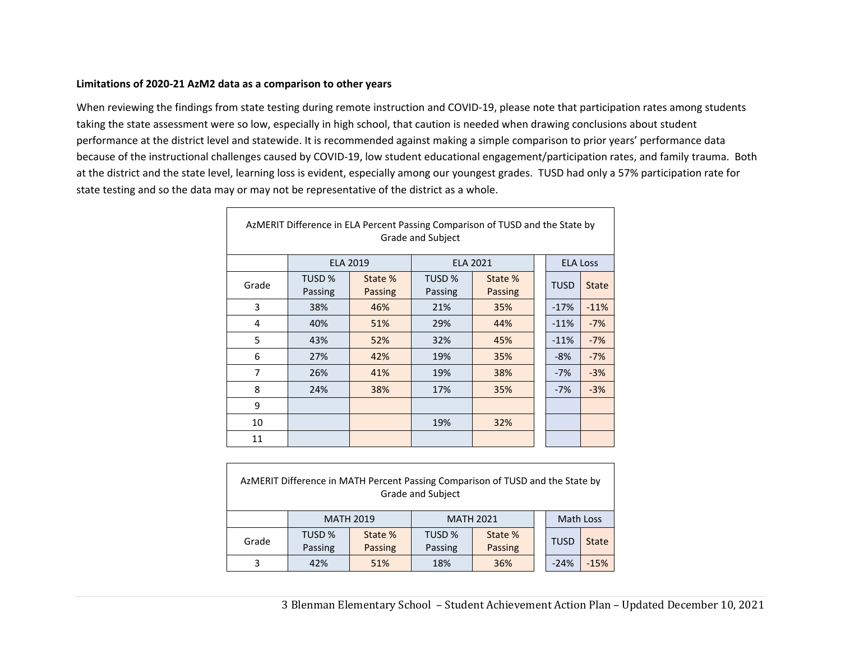#### **Limitations of 2020‐21 AzM2 data as a comparison to other years**

 $\Gamma$ 

When reviewing the findings from state testing during remote instruction and COVID‐19, please note that participation rates among students taking the state assessment were so low, especially in high school, that caution is needed when drawing conclusions about student performance at the district level and statewide. It is recommended against making a simple comparison to prior years' performance data because of the instructional challenges caused by COVID‐19, low student educational engagement/participation rates, and family trauma. Both at the district and the state level, learning loss is evident, especially among our youngest grades. TUSD had only a 57% participation rate for state testing and so the data may or may not be representative of the district as a whole.

|       |                              |                    | Grade and Subject            | AzMERIT Difference in ELA Percent Passing Comparison of TUSD and the State by |             |                 |
|-------|------------------------------|--------------------|------------------------------|-------------------------------------------------------------------------------|-------------|-----------------|
|       |                              | <b>ELA 2019</b>    |                              | <b>ELA 2021</b>                                                               |             | <b>ELA Loss</b> |
| Grade | TUSD <sub>%</sub><br>Passing | State %<br>Passing | TUSD <sub>%</sub><br>Passing | State %<br>Passing                                                            | <b>TUSD</b> | <b>State</b>    |
| 3     | 38%                          | 46%                | 21%                          | 35%                                                                           | $-17%$      | $-11%$          |
| 4     | 40%                          | 51%                | 29%                          | 44%                                                                           | $-11%$      | $-7%$           |
| 5     | 43%                          | 52%                | 32%                          | 45%                                                                           | $-11%$      | $-7%$           |
| 6     | 27%                          | 42%                | 19%                          | 35%                                                                           | $-8%$       | $-7%$           |
| 7     | 26%                          | 41%                | 19%                          | 38%                                                                           | $-7%$       | $-3%$           |
| 8     | 24%                          | 38%                | 17%                          | 35%                                                                           | $-7%$       | $-3%$           |
| 9     |                              |                    |                              |                                                                               |             |                 |
| 10    |                              |                    | 19%                          | 32%                                                                           |             |                 |
| 11    |                              |                    |                              |                                                                               |             |                 |

|       |         |                  | <b>Grade and Subject</b> | AzMERIT Difference in MATH Percent Passing Comparison of TUSD and the State by |             |        |
|-------|---------|------------------|--------------------------|--------------------------------------------------------------------------------|-------------|--------|
|       |         | <b>MATH 2019</b> |                          | <b>MATH 2021</b>                                                               | Math Loss   |        |
| Grade | TUSD %  | State %          | TUSD %                   | State %                                                                        | <b>TUSD</b> | State  |
|       | Passing | Passing          | Passing                  | Passing                                                                        |             |        |
| 3     | 42%     | 51%              | 18%                      | 36%                                                                            | $-24%$      | $-15%$ |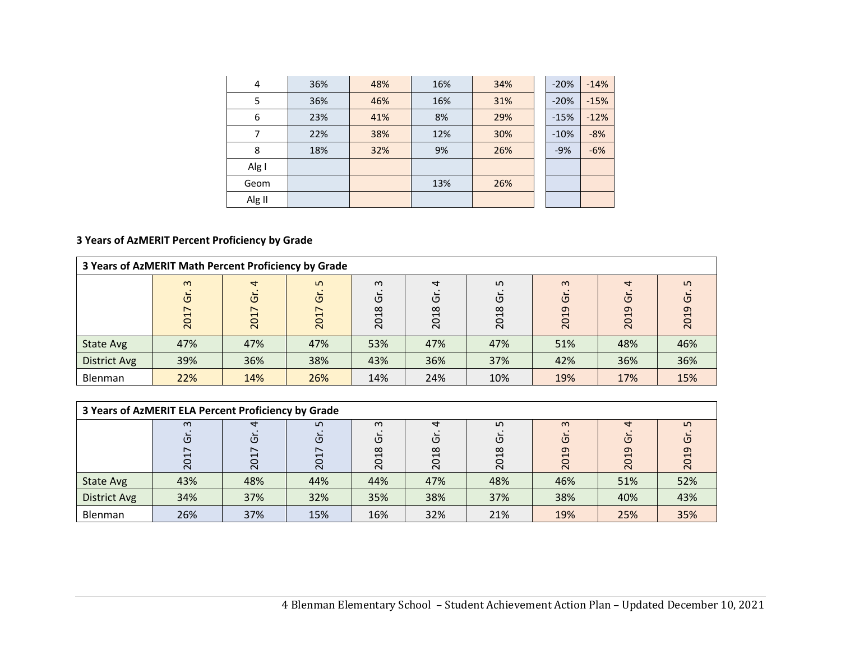| $\overline{4}$ | 36% | 48% | 16% | 34% | $-20%$ | $-14%$ |
|----------------|-----|-----|-----|-----|--------|--------|
| 5              | 36% | 46% | 16% | 31% | $-20%$ | $-15%$ |
| 6              | 23% | 41% | 8%  | 29% | $-15%$ | $-12%$ |
|                | 22% | 38% | 12% | 30% | $-10%$ | $-8%$  |
| 8              | 18% | 32% | 9%  | 26% | $-9%$  | $-6%$  |
| Alg I          |     |     |     |     |        |        |
| Geom           |     |     | 13% | 26% |        |        |
| Alg II         |     |     |     |     |        |        |

# **3 Years of AzMERIT Percent Proficiency by Grade**

| 3 Years of AzMERIT Math Percent Proficiency by Grade |                                 |                                 |                     |                                                                            |                             |                                   |                             |                             |                                                              |
|------------------------------------------------------|---------------------------------|---------------------------------|---------------------|----------------------------------------------------------------------------|-----------------------------|-----------------------------------|-----------------------------|-----------------------------|--------------------------------------------------------------|
|                                                      | $\omega$<br>$\circ$<br>↖<br>201 | $\overline{a}$<br>উ<br>∼<br>201 | Ln<br>Ğ<br>↖<br>201 | $\omega$<br>O<br>$\infty$<br>$\overline{\phantom{0}}$<br>$\circ$<br>$\sim$ | $\overline{a}$<br>Ū<br>2018 | ഗ<br>O<br>$\infty$<br>ᅱ<br>$\sim$ | $\infty$<br>$\circ$<br>2019 | $\overline{ }$<br>O<br>2019 | ഗ<br>ပ<br>ᡡ<br>$\overline{\phantom{0}}$<br>$\circ$<br>$\sim$ |
| <b>State Avg</b>                                     | 47%                             | 47%                             | 47%                 | 53%                                                                        | 47%                         | 47%                               | 51%                         | 48%                         | 46%                                                          |
| <b>District Avg</b>                                  | 39%                             | 36%                             | 38%                 | 43%                                                                        | 36%                         | 37%                               | 42%                         | 36%                         | 36%                                                          |
| <b>Blenman</b>                                       | 22%                             | 14%                             | 26%                 | 14%                                                                        | 24%                         | 10%                               | 19%                         | 17%                         | 15%                                                          |

| 3 Years of AzMERIT ELA Percent Proficiency by Grade |                                             |               |                    |                                          |                                  |                               |                                                           |                |             |
|-----------------------------------------------------|---------------------------------------------|---------------|--------------------|------------------------------------------|----------------------------------|-------------------------------|-----------------------------------------------------------|----------------|-------------|
|                                                     | $\infty$<br>$\sigma$<br>↖<br>$\overline{5}$ | 4<br>O<br>201 | ഗ<br>উ<br>∼<br>201 | $\omega$<br>O<br>$\infty$<br>↽<br>$\sim$ | 4<br>O<br>$\infty$<br><b>201</b> | ഗ<br>כי<br>$\infty$<br>ᄀ<br>ຊ | $\omega$<br>כי<br>ᡡ<br>$\mathrel{\blacksquare}$<br>$\sim$ | ↤<br>O<br>2019 | ഗ<br>$\sim$ |
| State Avg                                           | 43%                                         | 48%           | 44%                | 44%                                      | 47%                              | 48%                           | 46%                                                       | 51%            | 52%         |
| <b>District Avg</b>                                 | 34%                                         | 37%           | 32%                | 35%                                      | 38%                              | 37%                           | 38%                                                       | 40%            | 43%         |
| Blenman                                             | 26%                                         | 37%           | 15%                | 16%                                      | 32%                              | 21%                           | 19%                                                       | 25%            | 35%         |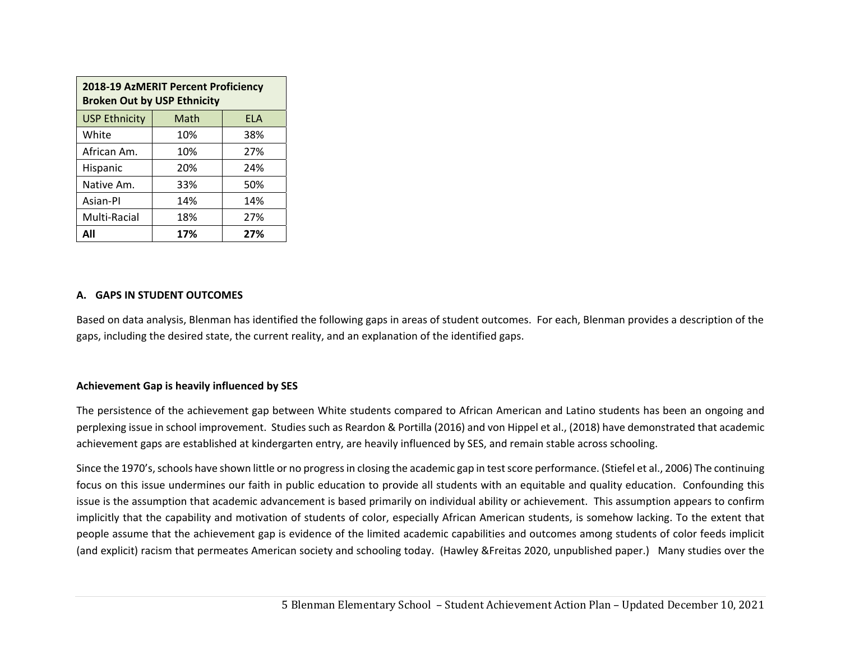| 2018-19 AzMERIT Percent Proficiency<br><b>Broken Out by USP Ethnicity</b> |      |            |  |  |
|---------------------------------------------------------------------------|------|------------|--|--|
| <b>USP Ethnicity</b>                                                      | Math | <b>FLA</b> |  |  |
| White                                                                     | 10%  | 38%        |  |  |
| African Am.                                                               | 10%  | 27%        |  |  |
| Hispanic                                                                  | 20%  | 24%        |  |  |
| Native Am.                                                                | 33%  | 50%        |  |  |
| Asian-Pl                                                                  | 14%  | 14%        |  |  |
| Multi-Racial                                                              | 18%  | 27%        |  |  |
|                                                                           | 17%  | 27%        |  |  |

#### **A. GAPS IN STUDENT OUTCOMES**

Based on data analysis, Blenman has identified the following gaps in areas of student outcomes. For each, Blenman provides a description of the gaps, including the desired state, the current reality, and an explanation of the identified gaps.

#### **Achievement Gap is heavily influenced by SES**

The persistence of the achievement gap between White students compared to African American and Latino students has been an ongoing and perplexing issue in school improvement. Studies such as Reardon & Portilla (2016) and von Hippel et al., (2018) have demonstrated that academic achievement gaps are established at kindergarten entry, are heavily influenced by SES, and remain stable across schooling.

Since the 1970's, schools have shown little or no progress in closing the academic gap in test score performance. (Stiefel et al., 2006) The continuing focus on this issue undermines our faith in public education to provide all students with an equitable and quality education. Confounding this issue is the assumption that academic advancement is based primarily on individual ability or achievement. This assumption appears to confirm implicitly that the capability and motivation of students of color, especially African American students, is somehow lacking. To the extent that people assume that the achievement gap is evidence of the limited academic capabilities and outcomes among students of color feeds implicit (and explicit) racism that permeates American society and schooling today. (Hawley &Freitas 2020, unpublished paper.) Many studies over the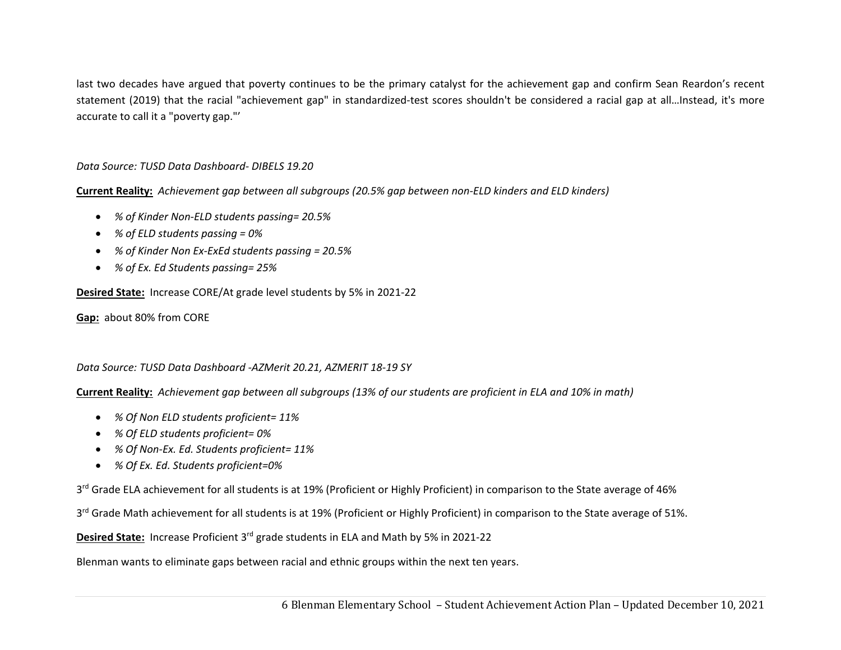last two decades have argued that poverty continues to be the primary catalyst for the achievement gap and confirm Sean Reardon's recent statement (2019) that the racial "achievement gap" in standardized-test scores shouldn't be considered a racial gap at all...Instead, it's more accurate to call it a "poverty gap."'

#### *Data Source: TUSD Data Dashboard‐ DIBELS 19.20*

**Current Reality:** *Achievement gap between all subgroups (20.5% gap between non‐ELD kinders and ELD kinders)*

- *% of Kinder Non‐ELD students passing= 20.5%*
- *% of ELD students passing = 0%*
- *% of Kinder Non Ex‐ExEd students passing = 20.5%*
- *% of Ex. Ed Students passing= 25%*

**Desired State:** Increase CORE/At grade level students by 5% in 2021‐22

**Gap:** about 80% from CORE

#### *Data Source: TUSD Data Dashboard ‐AZMerit 20.21, AZMERIT 18‐19 SY*

**Current Reality:** *Achievement gap between all subgroups (13% of our students are proficient in ELA and 10% in math)*

- *% Of Non ELD students proficient= 11%*
- *% Of ELD students proficient= 0%*
- *% Of Non‐Ex. Ed. Students proficient= 11%*
- *% Of Ex. Ed. Students proficient=0%*

3<sup>rd</sup> Grade ELA achievement for all students is at 19% (Proficient or Highly Proficient) in comparison to the State average of 46%

3<sup>rd</sup> Grade Math achievement for all students is at 19% (Proficient or Highly Proficient) in comparison to the State average of 51%.

**Desired State:** Increase Proficient 3rd grade students in ELA and Math by 5% in 2021‐22

Blenman wants to eliminate gaps between racial and ethnic groups within the next ten years.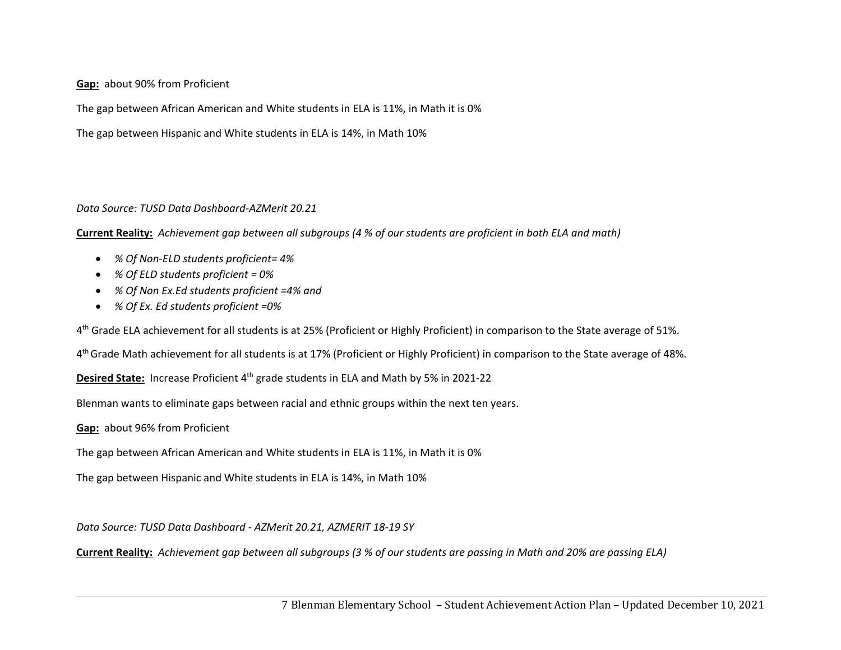**Gap:** about 90% from Proficient

The gap between African American and White students in ELA is 11%, in Math it is 0%

The gap between Hispanic and White students in ELA is 14%, in Math 10%

#### *Data Source: TUSD Data Dashboard‐AZMerit 20.21*

**Current Reality:** *Achievement gap between all subgroups (4 % of our students are proficient in both ELA and math)*

- *% Of Non‐ELD students proficient= 4%*
- *% Of ELD students proficient = 0%*
- *% Of Non Ex.Ed students proficient =4% and*
- *% Of Ex. Ed students proficient =0%*

4<sup>th</sup> Grade ELA achievement for all students is at 25% (Proficient or Highly Proficient) in comparison to the State average of 51%.

4<sup>th</sup> Grade Math achievement for all students is at 17% (Proficient or Highly Proficient) in comparison to the State average of 48%.

**Desired State:** Increase Proficient 4<sup>th</sup> grade students in ELA and Math by 5% in 2021-22

Blenman wants to eliminate gaps between racial and ethnic groups within the next ten years.

**Gap:** about 96% from Proficient

The gap between African American and White students in ELA is 11%, in Math it is 0%

The gap between Hispanic and White students in ELA is 14%, in Math 10%

*Data Source: TUSD Data Dashboard ‐ AZMerit 20.21, AZMERIT 18‐19 SY* 

**Current Reality:** *Achievement gap between all subgroups (3 % of our students are passing in Math and 20% are passing ELA)*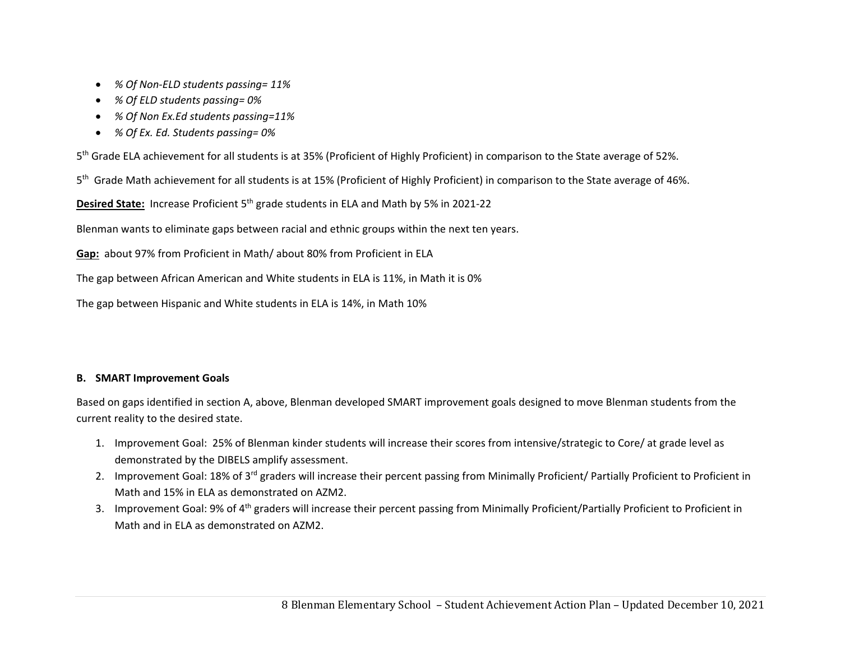- *% Of Non‐ELD students passing= 11%*
- *% Of ELD students passing= 0%*
- *% Of Non Ex.Ed students passing=11%*
- *% Of Ex. Ed. Students passing= 0%*

<sup>5</sup>th Grade ELA achievement for all students is at 35% (Proficient of Highly Proficient) in comparison to the State average of 52%.

5<sup>th</sup> Grade Math achievement for all students is at 15% (Proficient of Highly Proficient) in comparison to the State average of 46%.

**Desired State:** Increase Proficient 5<sup>th</sup> grade students in ELA and Math by 5% in 2021-22

Blenman wants to eliminate gaps between racial and ethnic groups within the next ten years.

**Gap:** about 97% from Proficient in Math/ about 80% from Proficient in ELA

The gap between African American and White students in ELA is 11%, in Math it is 0%

The gap between Hispanic and White students in ELA is 14%, in Math 10%

### **B. SMART Improvement Goals**

Based on gaps identified in section A, above, Blenman developed SMART improvement goals designed to move Blenman students from the current reality to the desired state.

- 1. Improvement Goal: 25% of Blenman kinder students will increase their scores from intensive/strategic to Core/ at grade level as demonstrated by the DIBELS amplify assessment.
- 2. Improvement Goal: 18% of 3<sup>rd</sup> graders will increase their percent passing from Minimally Proficient/ Partially Proficient to Proficient in Math and 15% in ELA as demonstrated on AZM2.
- 3. Improvement Goal: 9% of 4<sup>th</sup> graders will increase their percent passing from Minimally Proficient/Partially Proficient to Proficient in Math and in ELA as demonstrated on AZM2.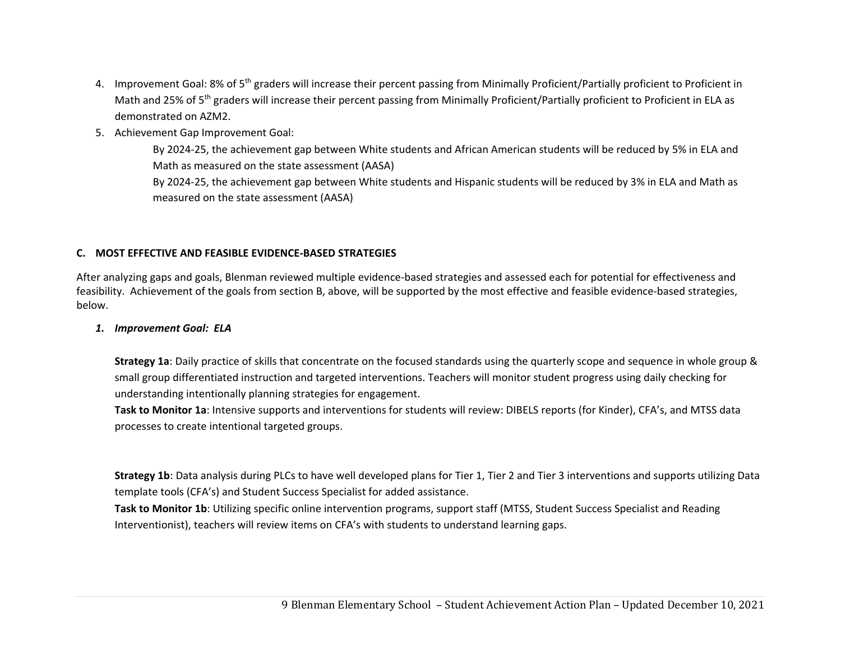- 4. Improvement Goal: 8% of 5<sup>th</sup> graders will increase their percent passing from Minimally Proficient/Partially proficient to Proficient in Math and 25% of 5<sup>th</sup> graders will increase their percent passing from Minimally Proficient/Partially proficient to Proficient in ELA as demonstrated on AZM2.
- 5. Achievement Gap Improvement Goal:

By 2024‐25, the achievement gap between White students and African American students will be reduced by 5% in ELA and Math as measured on the state assessment (AASA)

By 2024‐25, the achievement gap between White students and Hispanic students will be reduced by 3% in ELA and Math as measured on the state assessment (AASA)

#### **C. MOST EFFECTIVE AND FEASIBLE EVIDENCE‐BASED STRATEGIES**

After analyzing gaps and goals, Blenman reviewed multiple evidence‐based strategies and assessed each for potential for effectiveness and feasibility. Achievement of the goals from section B, above, will be supported by the most effective and feasible evidence‐based strategies, below.

#### *1. Improvement Goal: ELA*

**Strategy 1a**: Daily practice of skills that concentrate on the focused standards using the quarterly scope and sequence in whole group & small group differentiated instruction and targeted interventions. Teachers will monitor student progress using daily checking for understanding intentionally planning strategies for engagement.

**Task to Monitor 1a**: Intensive supports and interventions for students will review: DIBELS reports (for Kinder), CFA's, and MTSS data processes to create intentional targeted groups.

**Strategy 1b**: Data analysis during PLCs to have well developed plans for Tier 1, Tier 2 and Tier 3 interventions and supports utilizing Data template tools (CFA's) and Student Success Specialist for added assistance.

**Task to Monitor 1b**: Utilizing specific online intervention programs, support staff (MTSS, Student Success Specialist and Reading Interventionist), teachers will review items on CFA's with students to understand learning gaps.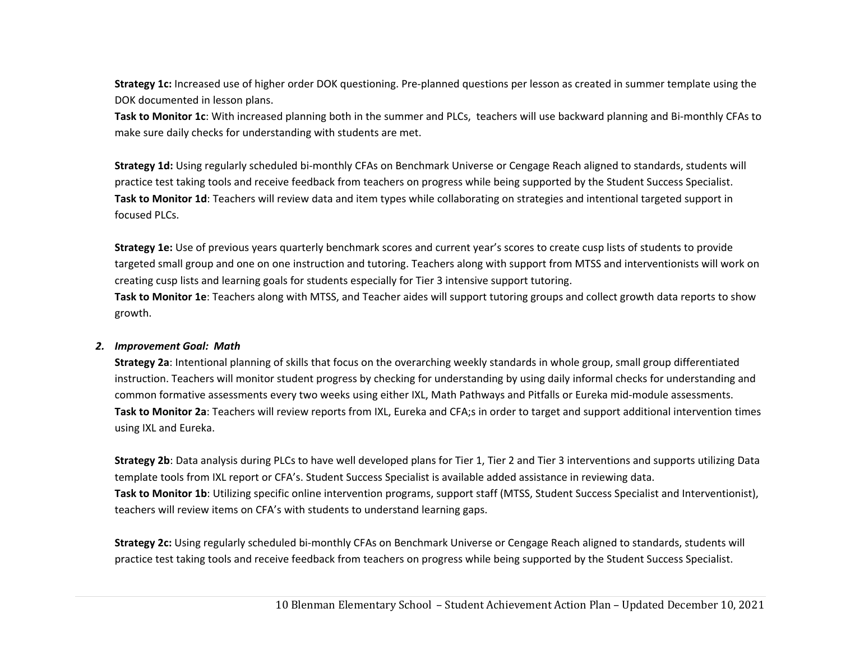**Strategy 1c:** Increased use of higher order DOK questioning. Pre‐planned questions per lesson as created in summer template using the DOK documented in lesson plans.

**Task to Monitor 1c**: With increased planning both in the summer and PLCs, teachers will use backward planning and Bi‐monthly CFAs to make sure daily checks for understanding with students are met.

**Strategy 1d:** Using regularly scheduled bi‐monthly CFAs on Benchmark Universe or Cengage Reach aligned to standards, students will practice test taking tools and receive feedback from teachers on progress while being supported by the Student Success Specialist. **Task to Monitor 1d**: Teachers will review data and item types while collaborating on strategies and intentional targeted support in focused PLCs.

**Strategy 1e:** Use of previous years quarterly benchmark scores and current year's scores to create cusp lists of students to provide targeted small group and one on one instruction and tutoring. Teachers along with support from MTSS and interventionists will work on creating cusp lists and learning goals for students especially for Tier 3 intensive support tutoring.

**Task to Monitor 1e**: Teachers along with MTSS, and Teacher aides will support tutoring groups and collect growth data reports to show growth.

#### *2. Improvement Goal: Math*

**Strategy 2a**: Intentional planning of skills that focus on the overarching weekly standards in whole group, small group differentiated instruction. Teachers will monitor student progress by checking for understanding by using daily informal checks for understanding and common formative assessments every two weeks using either IXL, Math Pathways and Pitfalls or Eureka mid‐module assessments. **Task to Monitor 2a**: Teachers will review reports from IXL, Eureka and CFA;s in order to target and support additional intervention times using IXL and Eureka.

**Strategy 2b**: Data analysis during PLCs to have well developed plans for Tier 1, Tier 2 and Tier 3 interventions and supports utilizing Data template tools from IXL report or CFA's. Student Success Specialist is available added assistance in reviewing data. **Task to Monitor 1b**: Utilizing specific online intervention programs, support staff (MTSS, Student Success Specialist and Interventionist), teachers will review items on CFA's with students to understand learning gaps.

**Strategy 2c:** Using regularly scheduled bi‐monthly CFAs on Benchmark Universe or Cengage Reach aligned to standards, students will practice test taking tools and receive feedback from teachers on progress while being supported by the Student Success Specialist.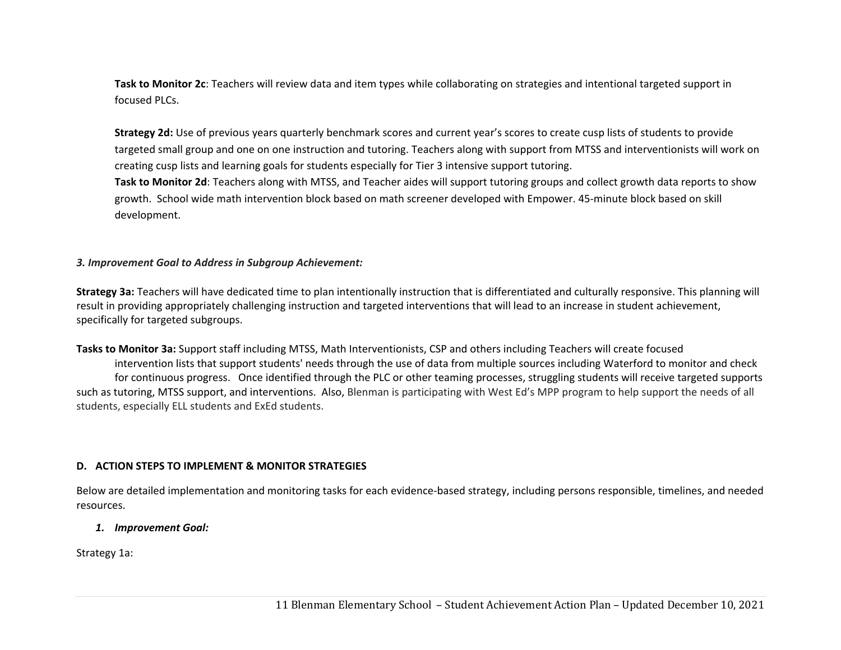**Task to Monitor 2c**: Teachers will review data and item types while collaborating on strategies and intentional targeted support in focused PLCs.

**Strategy 2d:** Use of previous years quarterly benchmark scores and current year's scores to create cusp lists of students to provide targeted small group and one on one instruction and tutoring. Teachers along with support from MTSS and interventionists will work on creating cusp lists and learning goals for students especially for Tier 3 intensive support tutoring.

**Task to Monitor 2d**: Teachers along with MTSS, and Teacher aides will support tutoring groups and collect growth data reports to show growth. School wide math intervention block based on math screener developed with Empower. 45‐minute block based on skill development.

#### *3. Improvement Goal to Address in Subgroup Achievement:*

**Strategy 3a:** Teachers will have dedicated time to plan intentionally instruction that is differentiated and culturally responsive. This planning will result in providing appropriately challenging instruction and targeted interventions that will lead to an increase in student achievement, specifically for targeted subgroups.

**Tasks to Monitor 3a:** Support staff including MTSS, Math Interventionists, CSP and others including Teachers will create focused intervention lists that support students' needs through the use of data from multiple sources including Waterford to monitor and check for continuous progress. Once identified through the PLC or other teaming processes, struggling students will receive targeted supports such as tutoring, MTSS support, and interventions. Also, Blenman is participating with West Ed's MPP program to help support the needs of all students, especially ELL students and ExEd students.

#### **D. ACTION STEPS TO IMPLEMENT & MONITOR STRATEGIES**

Below are detailed implementation and monitoring tasks for each evidence‐based strategy, including persons responsible, timelines, and needed resources.

#### *1. Improvement Goal:*

Strategy 1a: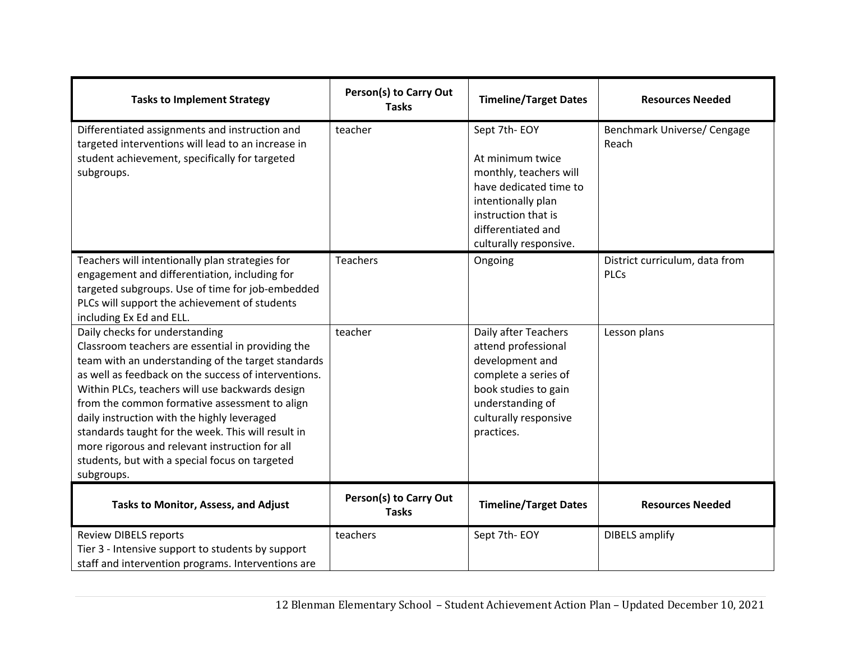| <b>Tasks to Implement Strategy</b>                                                                                                                                                                                                                                                                                                                                                                                                                                                                                           | Person(s) to Carry Out<br><b>Tasks</b> | <b>Timeline/Target Dates</b>                                                                                                                                                      | <b>Resources Needed</b>                       |
|------------------------------------------------------------------------------------------------------------------------------------------------------------------------------------------------------------------------------------------------------------------------------------------------------------------------------------------------------------------------------------------------------------------------------------------------------------------------------------------------------------------------------|----------------------------------------|-----------------------------------------------------------------------------------------------------------------------------------------------------------------------------------|-----------------------------------------------|
| Differentiated assignments and instruction and<br>targeted interventions will lead to an increase in<br>student achievement, specifically for targeted<br>subgroups.                                                                                                                                                                                                                                                                                                                                                         | teacher                                | Sept 7th-EOY<br>At minimum twice<br>monthly, teachers will<br>have dedicated time to<br>intentionally plan<br>instruction that is<br>differentiated and<br>culturally responsive. | Benchmark Universe/ Cengage<br>Reach          |
| Teachers will intentionally plan strategies for<br>engagement and differentiation, including for<br>targeted subgroups. Use of time for job-embedded<br>PLCs will support the achievement of students<br>including Ex Ed and ELL.                                                                                                                                                                                                                                                                                            | <b>Teachers</b>                        | Ongoing                                                                                                                                                                           | District curriculum, data from<br><b>PLCs</b> |
| Daily checks for understanding<br>Classroom teachers are essential in providing the<br>team with an understanding of the target standards<br>as well as feedback on the success of interventions.<br>Within PLCs, teachers will use backwards design<br>from the common formative assessment to align<br>daily instruction with the highly leveraged<br>standards taught for the week. This will result in<br>more rigorous and relevant instruction for all<br>students, but with a special focus on targeted<br>subgroups. | teacher                                | Daily after Teachers<br>attend professional<br>development and<br>complete a series of<br>book studies to gain<br>understanding of<br>culturally responsive<br>practices.         | Lesson plans                                  |
| Tasks to Monitor, Assess, and Adjust                                                                                                                                                                                                                                                                                                                                                                                                                                                                                         | Person(s) to Carry Out<br><b>Tasks</b> | <b>Timeline/Target Dates</b>                                                                                                                                                      | <b>Resources Needed</b>                       |
| <b>Review DIBELS reports</b><br>Tier 3 - Intensive support to students by support<br>staff and intervention programs. Interventions are                                                                                                                                                                                                                                                                                                                                                                                      | teachers                               | Sept 7th-EOY                                                                                                                                                                      | <b>DIBELS</b> amplify                         |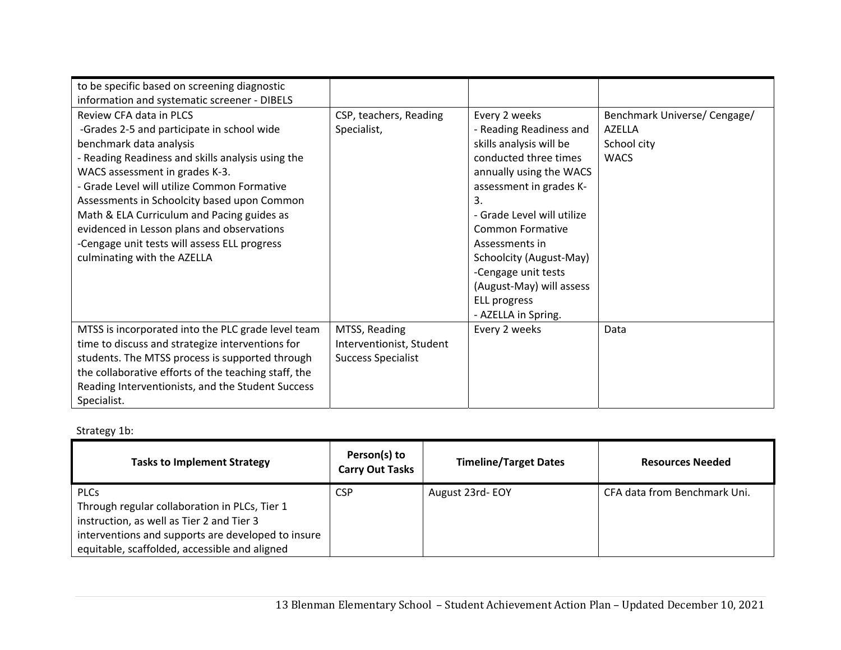| to be specific based on screening diagnostic         |                           |                            |                              |
|------------------------------------------------------|---------------------------|----------------------------|------------------------------|
| information and systematic screener - DIBELS         |                           |                            |                              |
| Review CFA data in PLCS                              | CSP, teachers, Reading    | Every 2 weeks              | Benchmark Universe/ Cengage/ |
| -Grades 2-5 and participate in school wide           | Specialist,               | - Reading Readiness and    | <b>AZELLA</b>                |
| benchmark data analysis                              |                           | skills analysis will be    | School city                  |
| - Reading Readiness and skills analysis using the    |                           | conducted three times      | <b>WACS</b>                  |
| WACS assessment in grades K-3.                       |                           | annually using the WACS    |                              |
| - Grade Level will utilize Common Formative          |                           | assessment in grades K-    |                              |
| Assessments in Schoolcity based upon Common          |                           | 3.                         |                              |
| Math & ELA Curriculum and Pacing guides as           |                           | - Grade Level will utilize |                              |
| evidenced in Lesson plans and observations           |                           | <b>Common Formative</b>    |                              |
| -Cengage unit tests will assess ELL progress         |                           | Assessments in             |                              |
| culminating with the AZELLA                          |                           | Schoolcity (August-May)    |                              |
|                                                      |                           | -Cengage unit tests        |                              |
|                                                      |                           | (August-May) will assess   |                              |
|                                                      |                           | ELL progress               |                              |
|                                                      |                           | - AZELLA in Spring.        |                              |
| MTSS is incorporated into the PLC grade level team   | MTSS, Reading             | Every 2 weeks              | Data                         |
| time to discuss and strategize interventions for     | Interventionist, Student  |                            |                              |
| students. The MTSS process is supported through      | <b>Success Specialist</b> |                            |                              |
| the collaborative efforts of the teaching staff, the |                           |                            |                              |
| Reading Interventionists, and the Student Success    |                           |                            |                              |
| Specialist.                                          |                           |                            |                              |

Strategy 1b:

| <b>Tasks to Implement Strategy</b>                                                                                                                                                                               | Person(s) to<br><b>Carry Out Tasks</b> | <b>Timeline/Target Dates</b> | <b>Resources Needed</b>      |
|------------------------------------------------------------------------------------------------------------------------------------------------------------------------------------------------------------------|----------------------------------------|------------------------------|------------------------------|
| <b>PLCs</b><br>Through regular collaboration in PLCs, Tier 1<br>instruction, as well as Tier 2 and Tier 3<br>interventions and supports are developed to insure<br>equitable, scaffolded, accessible and aligned | <b>CSP</b>                             | August 23rd-EOY              | CFA data from Benchmark Uni. |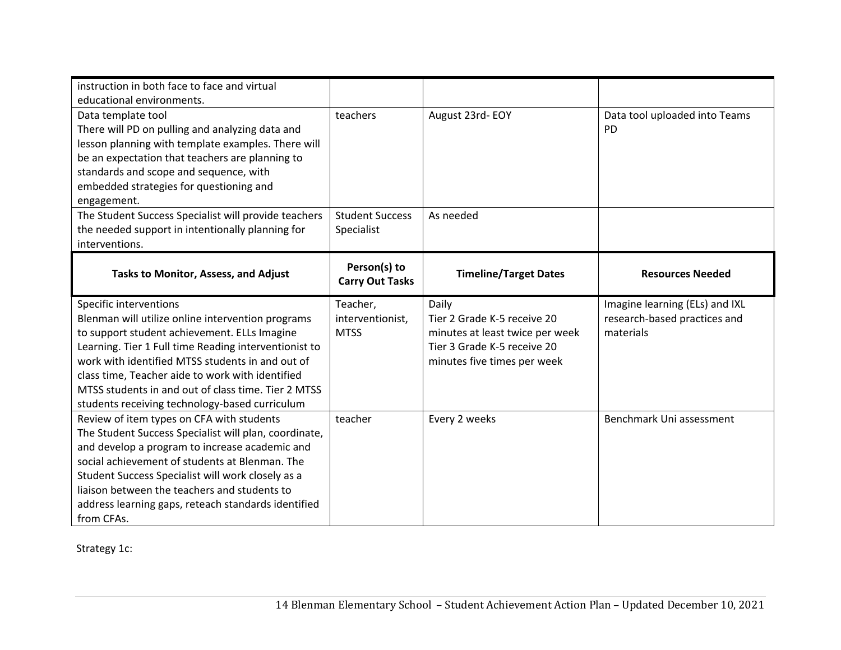| instruction in both face to face and virtual<br>educational environments.                                                                                                                                                                                                          |                                             |                                                                                                        |                                                                             |
|------------------------------------------------------------------------------------------------------------------------------------------------------------------------------------------------------------------------------------------------------------------------------------|---------------------------------------------|--------------------------------------------------------------------------------------------------------|-----------------------------------------------------------------------------|
| Data template tool<br>There will PD on pulling and analyzing data and<br>lesson planning with template examples. There will<br>be an expectation that teachers are planning to<br>standards and scope and sequence, with<br>embedded strategies for questioning and<br>engagement. | teachers                                    | August 23rd-EOY                                                                                        | Data tool uploaded into Teams<br><b>PD</b>                                  |
| The Student Success Specialist will provide teachers<br>the needed support in intentionally planning for<br>interventions.                                                                                                                                                         | <b>Student Success</b><br>Specialist        | As needed                                                                                              |                                                                             |
| Tasks to Monitor, Assess, and Adjust                                                                                                                                                                                                                                               | Person(s) to<br><b>Carry Out Tasks</b>      | <b>Timeline/Target Dates</b>                                                                           | <b>Resources Needed</b>                                                     |
| Specific interventions<br>Blenman will utilize online intervention programs<br>to support student achievement. ELLs Imagine<br>Learning. Tier 1 Full time Reading interventionist to<br>work with identified MTSS students in and out of                                           | Teacher,<br>interventionist,<br><b>MTSS</b> | Daily<br>Tier 2 Grade K-5 receive 20<br>minutes at least twice per week<br>Tier 3 Grade K-5 receive 20 | Imagine learning (ELs) and IXL<br>research-based practices and<br>materials |
| class time, Teacher aide to work with identified<br>MTSS students in and out of class time. Tier 2 MTSS<br>students receiving technology-based curriculum                                                                                                                          |                                             | minutes five times per week                                                                            |                                                                             |

Strategy 1c: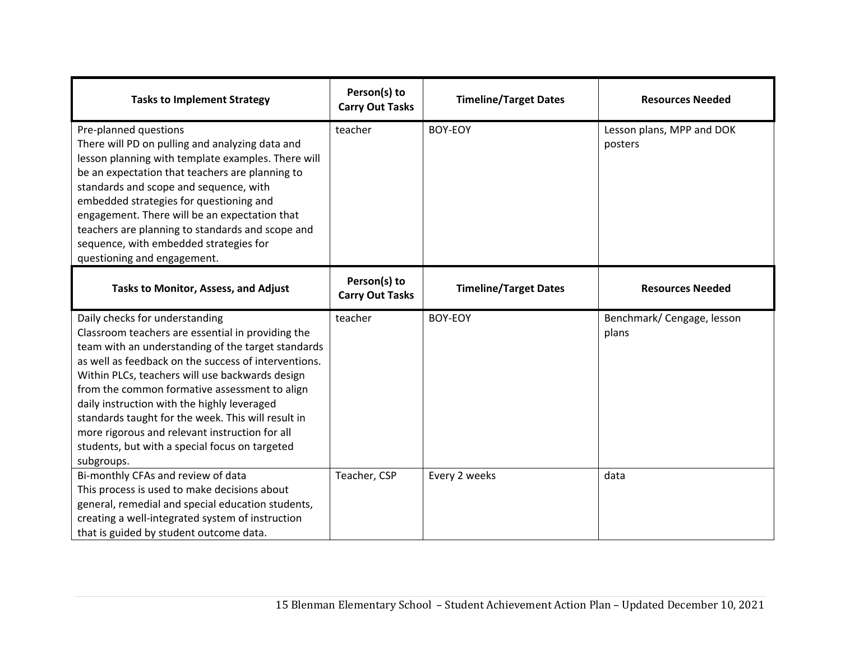| <b>Tasks to Implement Strategy</b>                                                                                                                                                                                                                                                                                                                                                                                                                                                                                           | Person(s) to<br><b>Carry Out Tasks</b> | <b>Timeline/Target Dates</b> | <b>Resources Needed</b>              |
|------------------------------------------------------------------------------------------------------------------------------------------------------------------------------------------------------------------------------------------------------------------------------------------------------------------------------------------------------------------------------------------------------------------------------------------------------------------------------------------------------------------------------|----------------------------------------|------------------------------|--------------------------------------|
| Pre-planned questions<br>There will PD on pulling and analyzing data and<br>lesson planning with template examples. There will<br>be an expectation that teachers are planning to<br>standards and scope and sequence, with<br>embedded strategies for questioning and<br>engagement. There will be an expectation that<br>teachers are planning to standards and scope and<br>sequence, with embedded strategies for<br>questioning and engagement.                                                                         | teacher                                | BOY-EOY                      | Lesson plans, MPP and DOK<br>posters |
| Tasks to Monitor, Assess, and Adjust                                                                                                                                                                                                                                                                                                                                                                                                                                                                                         | Person(s) to<br><b>Carry Out Tasks</b> | <b>Timeline/Target Dates</b> | <b>Resources Needed</b>              |
| Daily checks for understanding<br>Classroom teachers are essential in providing the<br>team with an understanding of the target standards<br>as well as feedback on the success of interventions.<br>Within PLCs, teachers will use backwards design<br>from the common formative assessment to align<br>daily instruction with the highly leveraged<br>standards taught for the week. This will result in<br>more rigorous and relevant instruction for all<br>students, but with a special focus on targeted<br>subgroups. | teacher                                | BOY-EOY                      | Benchmark/ Cengage, lesson<br>plans  |
| Bi-monthly CFAs and review of data<br>This process is used to make decisions about<br>general, remedial and special education students,<br>creating a well-integrated system of instruction<br>that is guided by student outcome data.                                                                                                                                                                                                                                                                                       | Teacher, CSP                           | Every 2 weeks                | data                                 |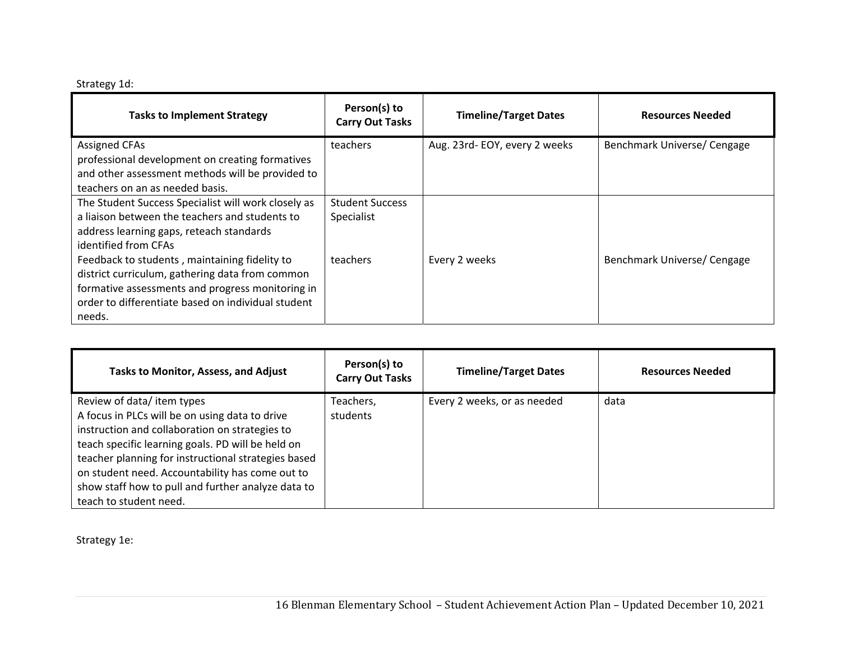| Strategy 1d: |  |
|--------------|--|
|              |  |

| <b>Tasks to Implement Strategy</b>                                                                                                                                                                                   | Person(s) to<br><b>Carry Out Tasks</b> | <b>Timeline/Target Dates</b> | <b>Resources Needed</b>     |
|----------------------------------------------------------------------------------------------------------------------------------------------------------------------------------------------------------------------|----------------------------------------|------------------------------|-----------------------------|
| <b>Assigned CFAs</b><br>professional development on creating formatives<br>and other assessment methods will be provided to<br>teachers on an as needed basis.                                                       | teachers                               | Aug. 23rd-EOY, every 2 weeks | Benchmark Universe/ Cengage |
| The Student Success Specialist will work closely as<br>a liaison between the teachers and students to<br>address learning gaps, reteach standards<br>identified from CFAs                                            | <b>Student Success</b><br>Specialist   |                              |                             |
| Feedback to students, maintaining fidelity to<br>district curriculum, gathering data from common<br>formative assessments and progress monitoring in<br>order to differentiate based on individual student<br>needs. | teachers                               | Every 2 weeks                | Benchmark Universe/ Cengage |

| <b>Tasks to Monitor, Assess, and Adjust</b>         | Person(s) to<br><b>Carry Out Tasks</b> | <b>Timeline/Target Dates</b> | <b>Resources Needed</b> |
|-----------------------------------------------------|----------------------------------------|------------------------------|-------------------------|
| Review of data/item types                           | Teachers,                              | Every 2 weeks, or as needed  | data                    |
| A focus in PLCs will be on using data to drive      | students                               |                              |                         |
| instruction and collaboration on strategies to      |                                        |                              |                         |
| teach specific learning goals. PD will be held on   |                                        |                              |                         |
| teacher planning for instructional strategies based |                                        |                              |                         |
| on student need. Accountability has come out to     |                                        |                              |                         |
| show staff how to pull and further analyze data to  |                                        |                              |                         |
| teach to student need.                              |                                        |                              |                         |

Strategy 1e: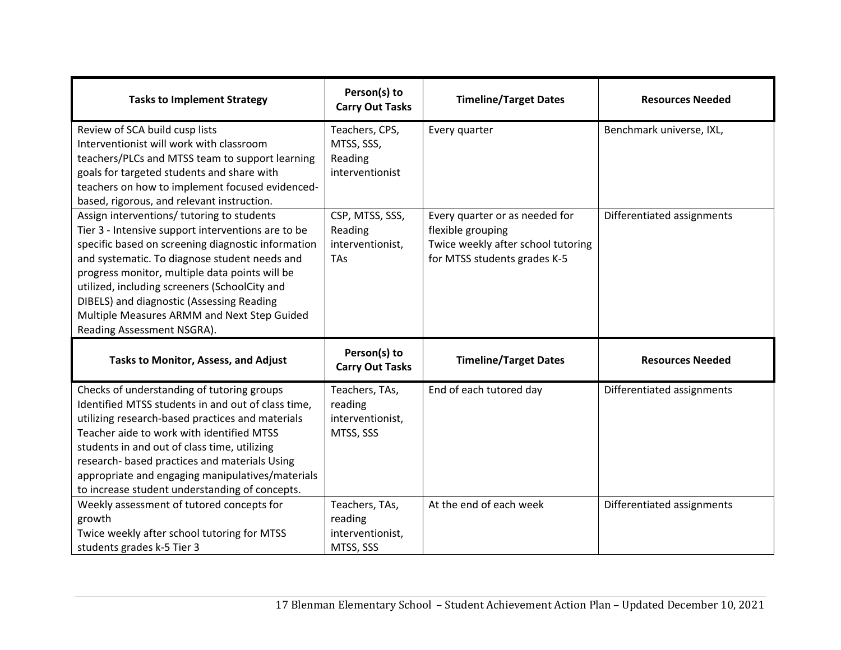| <b>Tasks to Implement Strategy</b>                                                                                                                                                                                                                                                                                                                                                                                                   | Person(s) to<br><b>Carry Out Tasks</b>                       | <b>Timeline/Target Dates</b>                                                                                              | <b>Resources Needed</b>    |
|--------------------------------------------------------------------------------------------------------------------------------------------------------------------------------------------------------------------------------------------------------------------------------------------------------------------------------------------------------------------------------------------------------------------------------------|--------------------------------------------------------------|---------------------------------------------------------------------------------------------------------------------------|----------------------------|
| Review of SCA build cusp lists<br>Interventionist will work with classroom<br>teachers/PLCs and MTSS team to support learning<br>goals for targeted students and share with<br>teachers on how to implement focused evidenced-<br>based, rigorous, and relevant instruction.                                                                                                                                                         | Teachers, CPS,<br>MTSS, SSS,<br>Reading<br>interventionist   | Every quarter                                                                                                             | Benchmark universe, IXL,   |
| Assign interventions/ tutoring to students<br>Tier 3 - Intensive support interventions are to be<br>specific based on screening diagnostic information<br>and systematic. To diagnose student needs and<br>progress monitor, multiple data points will be<br>utilized, including screeners (SchoolCity and<br>DIBELS) and diagnostic (Assessing Reading<br>Multiple Measures ARMM and Next Step Guided<br>Reading Assessment NSGRA). | CSP, MTSS, SSS,<br>Reading<br>interventionist,<br><b>TAs</b> | Every quarter or as needed for<br>flexible grouping<br>Twice weekly after school tutoring<br>for MTSS students grades K-5 | Differentiated assignments |
| Tasks to Monitor, Assess, and Adjust                                                                                                                                                                                                                                                                                                                                                                                                 | Person(s) to<br><b>Carry Out Tasks</b>                       | <b>Timeline/Target Dates</b>                                                                                              | <b>Resources Needed</b>    |
| Checks of understanding of tutoring groups<br>Identified MTSS students in and out of class time,<br>utilizing research-based practices and materials<br>Teacher aide to work with identified MTSS<br>students in and out of class time, utilizing<br>research- based practices and materials Using<br>appropriate and engaging manipulatives/materials<br>to increase student understanding of concepts.                             | Teachers, TAs,<br>reading<br>interventionist,<br>MTSS, SSS   | End of each tutored day                                                                                                   | Differentiated assignments |
| Weekly assessment of tutored concepts for<br>growth<br>Twice weekly after school tutoring for MTSS<br>students grades k-5 Tier 3                                                                                                                                                                                                                                                                                                     | Teachers, TAs,<br>reading<br>interventionist,<br>MTSS, SSS   | At the end of each week                                                                                                   | Differentiated assignments |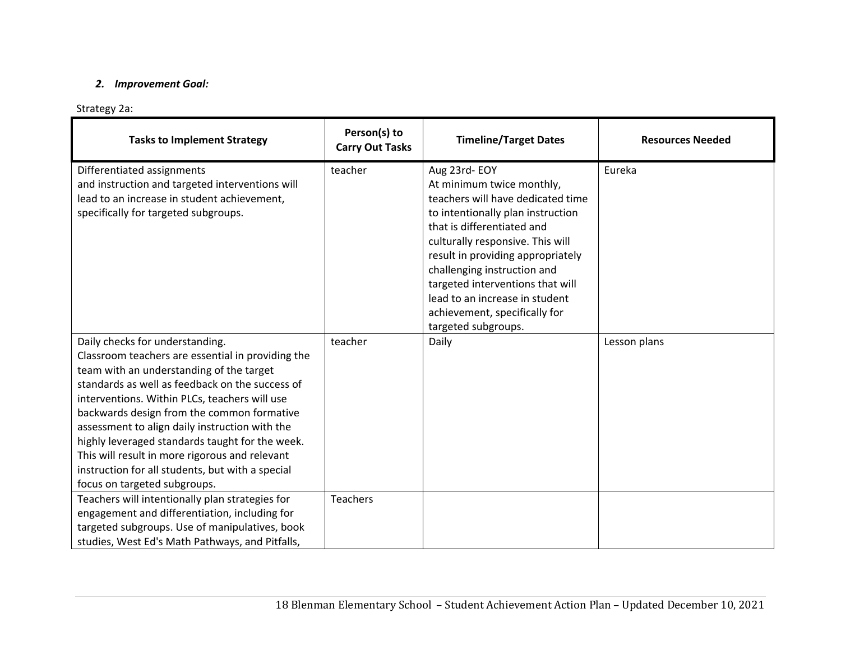### *2. Improvement Goal:*

# Strategy 2a:

| <b>Tasks to Implement Strategy</b>                                                                                                                                                                                                                                                                                                                                                                                                                                                                                            | Person(s) to<br><b>Carry Out Tasks</b> | <b>Timeline/Target Dates</b>                                                                                                                                                                                                                                                                                                                                                            | <b>Resources Needed</b> |
|-------------------------------------------------------------------------------------------------------------------------------------------------------------------------------------------------------------------------------------------------------------------------------------------------------------------------------------------------------------------------------------------------------------------------------------------------------------------------------------------------------------------------------|----------------------------------------|-----------------------------------------------------------------------------------------------------------------------------------------------------------------------------------------------------------------------------------------------------------------------------------------------------------------------------------------------------------------------------------------|-------------------------|
| Differentiated assignments<br>and instruction and targeted interventions will<br>lead to an increase in student achievement,<br>specifically for targeted subgroups.                                                                                                                                                                                                                                                                                                                                                          | teacher                                | Aug 23rd-EOY<br>At minimum twice monthly,<br>teachers will have dedicated time<br>to intentionally plan instruction<br>that is differentiated and<br>culturally responsive. This will<br>result in providing appropriately<br>challenging instruction and<br>targeted interventions that will<br>lead to an increase in student<br>achievement, specifically for<br>targeted subgroups. | Eureka                  |
| Daily checks for understanding.<br>Classroom teachers are essential in providing the<br>team with an understanding of the target<br>standards as well as feedback on the success of<br>interventions. Within PLCs, teachers will use<br>backwards design from the common formative<br>assessment to align daily instruction with the<br>highly leveraged standards taught for the week.<br>This will result in more rigorous and relevant<br>instruction for all students, but with a special<br>focus on targeted subgroups. | teacher                                | Daily                                                                                                                                                                                                                                                                                                                                                                                   | Lesson plans            |
| Teachers will intentionally plan strategies for<br>engagement and differentiation, including for<br>targeted subgroups. Use of manipulatives, book<br>studies, West Ed's Math Pathways, and Pitfalls,                                                                                                                                                                                                                                                                                                                         | <b>Teachers</b>                        |                                                                                                                                                                                                                                                                                                                                                                                         |                         |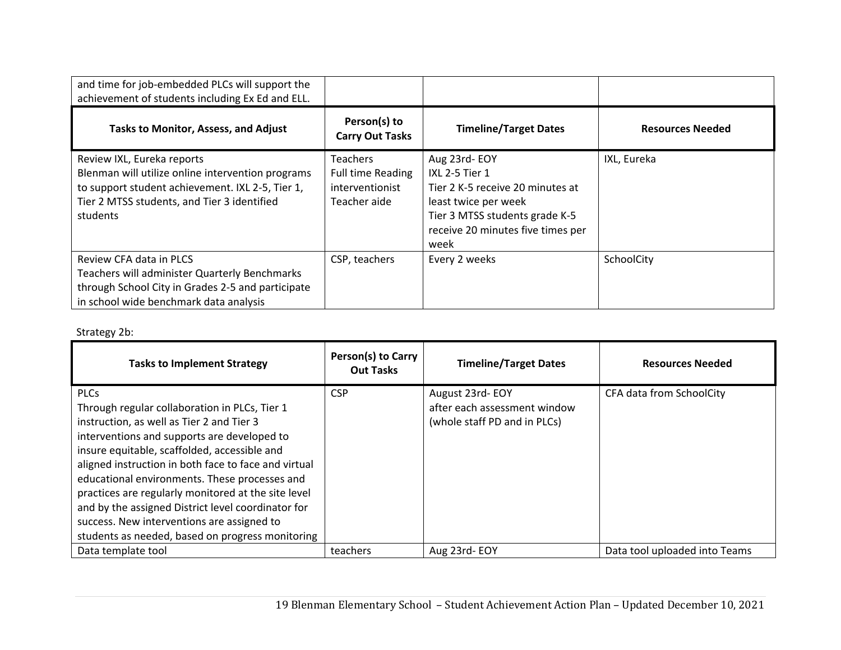| and time for job-embedded PLCs will support the<br>achievement of students including Ex Ed and ELL.                                                                                            |                                                                                |                                                                                                                                                                           |                         |
|------------------------------------------------------------------------------------------------------------------------------------------------------------------------------------------------|--------------------------------------------------------------------------------|---------------------------------------------------------------------------------------------------------------------------------------------------------------------------|-------------------------|
| Tasks to Monitor, Assess, and Adjust                                                                                                                                                           | Person(s) to<br><b>Carry Out Tasks</b>                                         | <b>Timeline/Target Dates</b>                                                                                                                                              | <b>Resources Needed</b> |
| Review IXL, Eureka reports<br>Blenman will utilize online intervention programs<br>to support student achievement. IXL 2-5, Tier 1,<br>Tier 2 MTSS students, and Tier 3 identified<br>students | <b>Teachers</b><br><b>Full time Reading</b><br>interventionist<br>Teacher aide | Aug 23rd-EOY<br>IXL 2-5 Tier 1<br>Tier 2 K-5 receive 20 minutes at<br>least twice per week<br>Tier 3 MTSS students grade K-5<br>receive 20 minutes five times per<br>week | IXL, Eureka             |
| Review CFA data in PLCS<br>Teachers will administer Quarterly Benchmarks<br>through School City in Grades 2-5 and participate<br>in school wide benchmark data analysis                        | CSP, teachers                                                                  | Every 2 weeks                                                                                                                                                             | SchoolCity              |

# Strategy 2b:

| <b>Tasks to Implement Strategy</b>                                                                                                                                                                                                                                                                                                                                                                                                                                                                                               | Person(s) to Carry<br><b>Out Tasks</b> | <b>Timeline/Target Dates</b>                                                    | <b>Resources Needed</b>       |
|----------------------------------------------------------------------------------------------------------------------------------------------------------------------------------------------------------------------------------------------------------------------------------------------------------------------------------------------------------------------------------------------------------------------------------------------------------------------------------------------------------------------------------|----------------------------------------|---------------------------------------------------------------------------------|-------------------------------|
| <b>PLCs</b><br>Through regular collaboration in PLCs, Tier 1<br>instruction, as well as Tier 2 and Tier 3<br>interventions and supports are developed to<br>insure equitable, scaffolded, accessible and<br>aligned instruction in both face to face and virtual<br>educational environments. These processes and<br>practices are regularly monitored at the site level<br>and by the assigned District level coordinator for<br>success. New interventions are assigned to<br>students as needed, based on progress monitoring | <b>CSP</b>                             | August 23rd-EOY<br>after each assessment window<br>(whole staff PD and in PLCs) | CFA data from SchoolCity      |
| Data template tool                                                                                                                                                                                                                                                                                                                                                                                                                                                                                                               | teachers                               | Aug 23rd-EOY                                                                    | Data tool uploaded into Teams |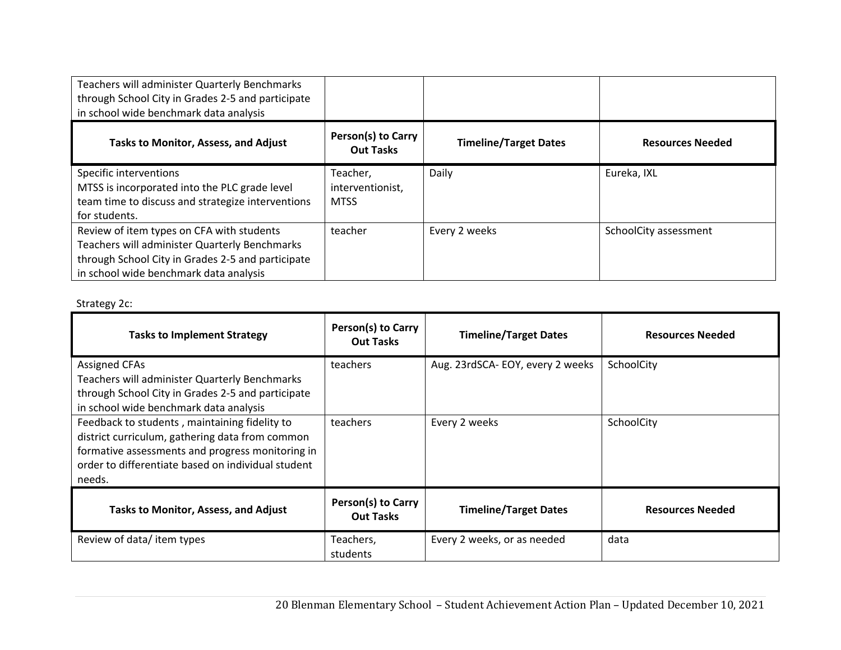| Teachers will administer Quarterly Benchmarks<br>through School City in Grades 2-5 and participate<br>in school wide benchmark data analysis                                              |                                             |                              |                         |
|-------------------------------------------------------------------------------------------------------------------------------------------------------------------------------------------|---------------------------------------------|------------------------------|-------------------------|
| Tasks to Monitor, Assess, and Adjust                                                                                                                                                      | Person(s) to Carry<br><b>Out Tasks</b>      | <b>Timeline/Target Dates</b> | <b>Resources Needed</b> |
| Specific interventions<br>MTSS is incorporated into the PLC grade level<br>team time to discuss and strategize interventions<br>for students.                                             | Teacher,<br>interventionist,<br><b>MTSS</b> | Daily                        | Eureka, IXL             |
| Review of item types on CFA with students<br>Teachers will administer Quarterly Benchmarks<br>through School City in Grades 2-5 and participate<br>in school wide benchmark data analysis | teacher                                     | Every 2 weeks                | SchoolCity assessment   |

# Strategy 2c:

| <b>Tasks to Implement Strategy</b>                                                                                                                                                                                                                             | Person(s) to Carry<br><b>Out Tasks</b>        | <b>Timeline/Target Dates</b>    | <b>Resources Needed</b> |
|----------------------------------------------------------------------------------------------------------------------------------------------------------------------------------------------------------------------------------------------------------------|-----------------------------------------------|---------------------------------|-------------------------|
| <b>Assigned CFAs</b><br>Teachers will administer Quarterly Benchmarks<br>through School City in Grades 2-5 and participate                                                                                                                                     | teachers                                      | Aug. 23rdSCA-EOY, every 2 weeks | SchoolCity              |
| in school wide benchmark data analysis<br>Feedback to students, maintaining fidelity to<br>district curriculum, gathering data from common<br>formative assessments and progress monitoring in<br>order to differentiate based on individual student<br>needs. | teachers                                      | Every 2 weeks                   | SchoolCity              |
| <b>Tasks to Monitor, Assess, and Adjust</b>                                                                                                                                                                                                                    | <b>Person(s) to Carry</b><br><b>Out Tasks</b> | <b>Timeline/Target Dates</b>    | <b>Resources Needed</b> |
| Review of data/item types                                                                                                                                                                                                                                      | Teachers,<br>students                         | Every 2 weeks, or as needed     | data                    |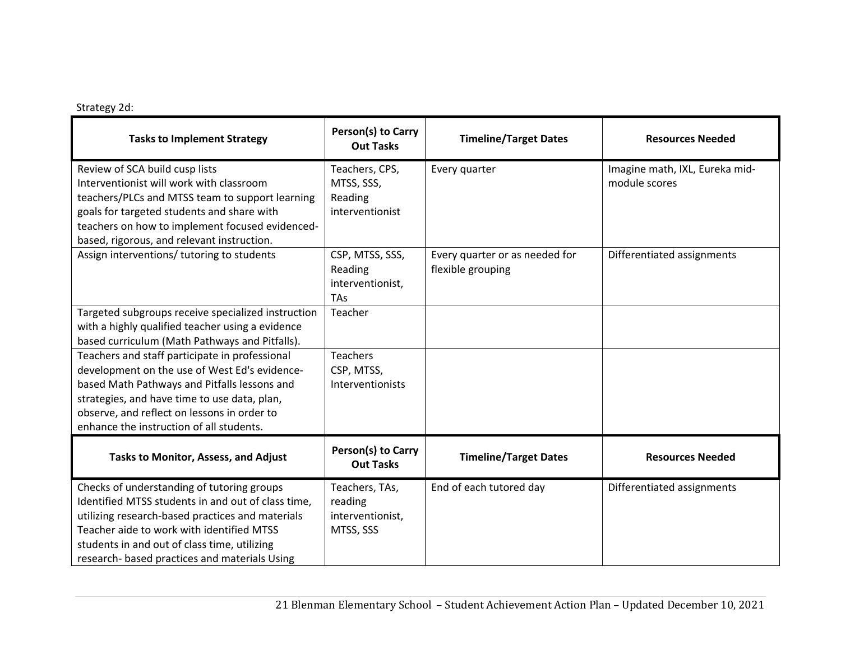## Strategy 2d:

| <b>Tasks to Implement Strategy</b>                                                                                                                                                                                                                                                                 | Person(s) to Carry<br><b>Out Tasks</b>                       | <b>Timeline/Target Dates</b>                        | <b>Resources Needed</b>                         |
|----------------------------------------------------------------------------------------------------------------------------------------------------------------------------------------------------------------------------------------------------------------------------------------------------|--------------------------------------------------------------|-----------------------------------------------------|-------------------------------------------------|
| Review of SCA build cusp lists<br>Interventionist will work with classroom<br>teachers/PLCs and MTSS team to support learning<br>goals for targeted students and share with<br>teachers on how to implement focused evidenced-<br>based, rigorous, and relevant instruction.                       | Teachers, CPS,<br>MTSS, SSS,<br>Reading<br>interventionist   | Every quarter                                       | Imagine math, IXL, Eureka mid-<br>module scores |
| Assign interventions/ tutoring to students                                                                                                                                                                                                                                                         | CSP, MTSS, SSS,<br>Reading<br>interventionist,<br><b>TAs</b> | Every quarter or as needed for<br>flexible grouping | Differentiated assignments                      |
| Targeted subgroups receive specialized instruction<br>with a highly qualified teacher using a evidence<br>based curriculum (Math Pathways and Pitfalls).                                                                                                                                           | Teacher                                                      |                                                     |                                                 |
| Teachers and staff participate in professional<br>development on the use of West Ed's evidence-<br>based Math Pathways and Pitfalls lessons and<br>strategies, and have time to use data, plan,<br>observe, and reflect on lessons in order to<br>enhance the instruction of all students.         | <b>Teachers</b><br>CSP, MTSS,<br>Interventionists            |                                                     |                                                 |
| Tasks to Monitor, Assess, and Adjust                                                                                                                                                                                                                                                               | Person(s) to Carry<br><b>Out Tasks</b>                       | <b>Timeline/Target Dates</b>                        | <b>Resources Needed</b>                         |
| Checks of understanding of tutoring groups<br>Identified MTSS students in and out of class time,<br>utilizing research-based practices and materials<br>Teacher aide to work with identified MTSS<br>students in and out of class time, utilizing<br>research- based practices and materials Using | Teachers, TAs,<br>reading<br>interventionist,<br>MTSS, SSS   | End of each tutored day                             | Differentiated assignments                      |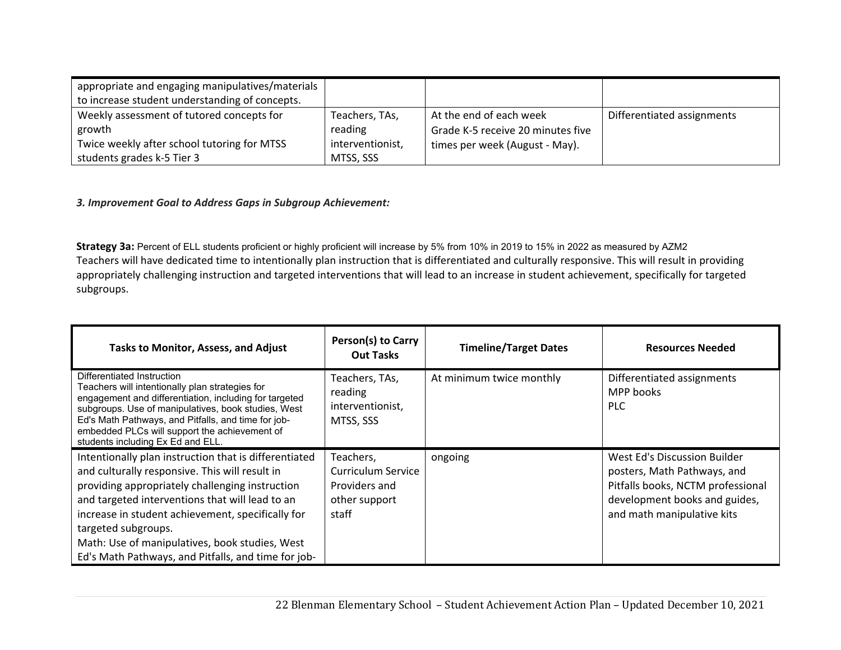| appropriate and engaging manipulatives/materials<br>to increase student understanding of concepts. |                  |                                   |                            |
|----------------------------------------------------------------------------------------------------|------------------|-----------------------------------|----------------------------|
| Weekly assessment of tutored concepts for                                                          | Teachers, TAs,   | At the end of each week           | Differentiated assignments |
| growth                                                                                             | reading          | Grade K-5 receive 20 minutes five |                            |
| Twice weekly after school tutoring for MTSS                                                        | interventionist, | times per week (August - May).    |                            |
| students grades k-5 Tier 3                                                                         | MTSS, SSS        |                                   |                            |

#### *3. Improvement Goal to Address Gaps in Subgroup Achievement:*

**Strategy 3a:** Percent of ELL students proficient or highly proficient will increase by 5% from 10% in 2019 to 15% in 2022 as measured by AZM2 Teachers will have dedicated time to intentionally plan instruction that is differentiated and culturally responsive. This will result in providing appropriately challenging instruction and targeted interventions that will lead to an increase in student achievement, specifically for targeted subgroups.

| <b>Tasks to Monitor, Assess, and Adjust</b>                                                                                                                                                                                                                                                                                                                                                        | Person(s) to Carry<br><b>Out Tasks</b>                                     | <b>Timeline/Target Dates</b> | <b>Resources Needed</b>                                                                                                                                         |
|----------------------------------------------------------------------------------------------------------------------------------------------------------------------------------------------------------------------------------------------------------------------------------------------------------------------------------------------------------------------------------------------------|----------------------------------------------------------------------------|------------------------------|-----------------------------------------------------------------------------------------------------------------------------------------------------------------|
| Differentiated Instruction<br>Teachers will intentionally plan strategies for<br>engagement and differentiation, including for targeted<br>subgroups. Use of manipulatives, book studies, West<br>Ed's Math Pathways, and Pitfalls, and time for job-<br>embedded PLCs will support the achievement of<br>students including Ex Ed and ELL.                                                        | Teachers, TAs,<br>reading<br>interventionist,<br>MTSS, SSS                 | At minimum twice monthly     | Differentiated assignments<br>MPP books<br>PLC.                                                                                                                 |
| Intentionally plan instruction that is differentiated<br>and culturally responsive. This will result in<br>providing appropriately challenging instruction<br>and targeted interventions that will lead to an<br>increase in student achievement, specifically for<br>targeted subgroups.<br>Math: Use of manipulatives, book studies, West<br>Ed's Math Pathways, and Pitfalls, and time for job- | Teachers,<br>Curriculum Service<br>Providers and<br>other support<br>staff | ongoing                      | West Ed's Discussion Builder<br>posters, Math Pathways, and<br>Pitfalls books, NCTM professional<br>development books and guides,<br>and math manipulative kits |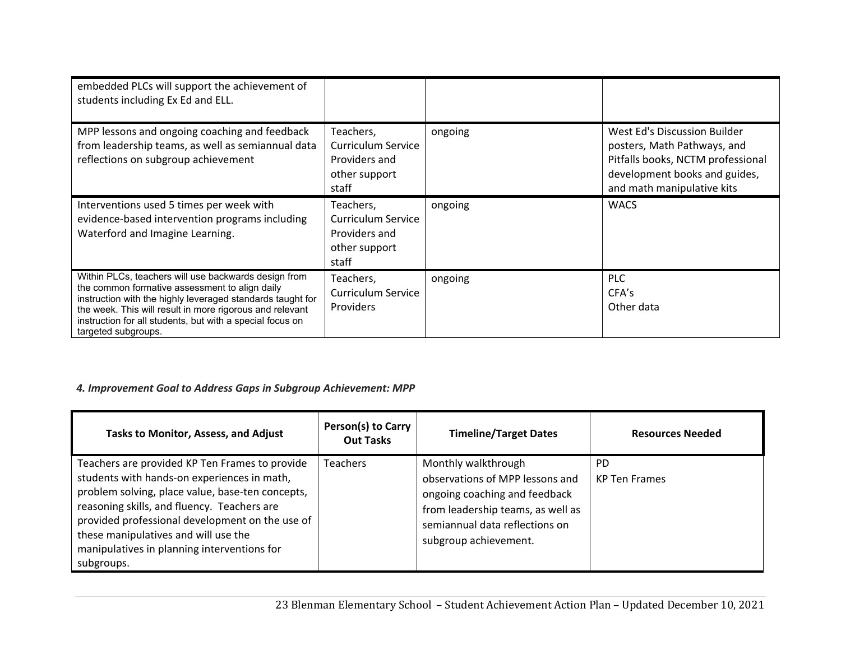| embedded PLCs will support the achievement of<br>students including Ex Ed and ELL.                                                                                                                                                                                                                                   |                                                                            |         |                                                                                                                                                                 |
|----------------------------------------------------------------------------------------------------------------------------------------------------------------------------------------------------------------------------------------------------------------------------------------------------------------------|----------------------------------------------------------------------------|---------|-----------------------------------------------------------------------------------------------------------------------------------------------------------------|
| MPP lessons and ongoing coaching and feedback<br>from leadership teams, as well as semiannual data<br>reflections on subgroup achievement                                                                                                                                                                            | Teachers,<br>Curriculum Service<br>Providers and<br>other support<br>staff | ongoing | West Ed's Discussion Builder<br>posters, Math Pathways, and<br>Pitfalls books, NCTM professional<br>development books and guides,<br>and math manipulative kits |
| Interventions used 5 times per week with<br>evidence-based intervention programs including<br>Waterford and Imagine Learning.                                                                                                                                                                                        | Teachers,<br>Curriculum Service<br>Providers and<br>other support<br>staff | ongoing | <b>WACS</b>                                                                                                                                                     |
| Within PLCs, teachers will use backwards design from<br>the common formative assessment to align daily<br>instruction with the highly leveraged standards taught for<br>the week. This will result in more rigorous and relevant<br>instruction for all students, but with a special focus on<br>targeted subgroups. | Teachers,<br>Curriculum Service<br><b>Providers</b>                        | ongoing | <b>PLC</b><br>CFA's<br>Other data                                                                                                                               |

# *4. Improvement Goal to Address Gaps in Subgroup Achievement: MPP*

| <b>Tasks to Monitor, Assess, and Adjust</b>                                                                                                                                                                                                                                                                                                              | Person(s) to Carry<br><b>Out Tasks</b> | <b>Timeline/Target Dates</b>                                                                                                                                                            | <b>Resources Needed</b>     |
|----------------------------------------------------------------------------------------------------------------------------------------------------------------------------------------------------------------------------------------------------------------------------------------------------------------------------------------------------------|----------------------------------------|-----------------------------------------------------------------------------------------------------------------------------------------------------------------------------------------|-----------------------------|
| Teachers are provided KP Ten Frames to provide<br>students with hands-on experiences in math,<br>problem solving, place value, base-ten concepts,<br>reasoning skills, and fluency. Teachers are<br>provided professional development on the use of<br>these manipulatives and will use the<br>manipulatives in planning interventions for<br>subgroups. | <b>Teachers</b>                        | Monthly walkthrough<br>observations of MPP lessons and<br>ongoing coaching and feedback<br>from leadership teams, as well as<br>semiannual data reflections on<br>subgroup achievement. | PD.<br><b>KP</b> Ten Frames |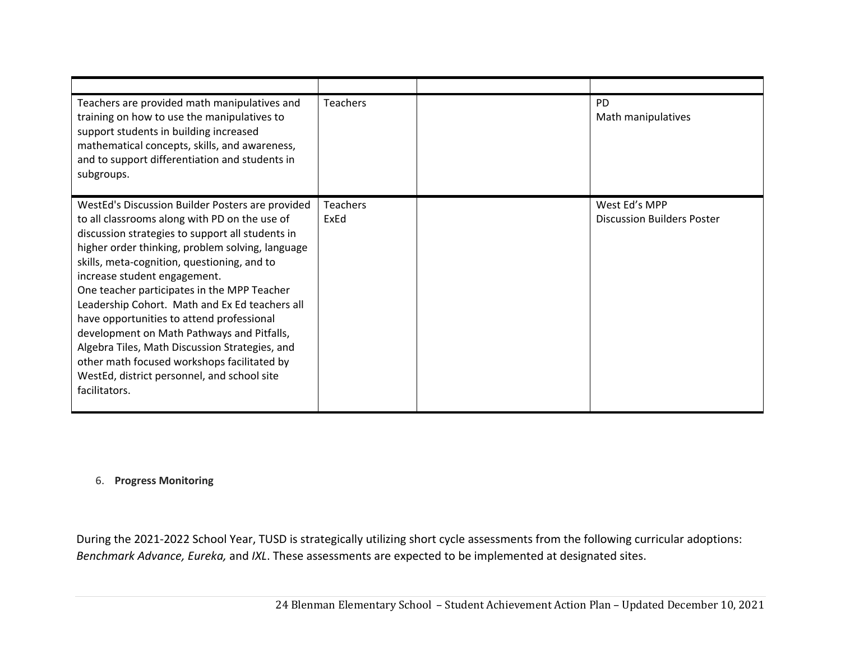| Teachers are provided math manipulatives and<br>training on how to use the manipulatives to<br>support students in building increased<br>mathematical concepts, skills, and awareness,<br>and to support differentiation and students in<br>subgroups.                                                                                                                                                                                                                                                                                                                                                                                                | <b>Teachers</b>         | <b>PD</b><br>Math manipulatives                    |
|-------------------------------------------------------------------------------------------------------------------------------------------------------------------------------------------------------------------------------------------------------------------------------------------------------------------------------------------------------------------------------------------------------------------------------------------------------------------------------------------------------------------------------------------------------------------------------------------------------------------------------------------------------|-------------------------|----------------------------------------------------|
| WestEd's Discussion Builder Posters are provided<br>to all classrooms along with PD on the use of<br>discussion strategies to support all students in<br>higher order thinking, problem solving, language<br>skills, meta-cognition, questioning, and to<br>increase student engagement.<br>One teacher participates in the MPP Teacher<br>Leadership Cohort. Math and Ex Ed teachers all<br>have opportunities to attend professional<br>development on Math Pathways and Pitfalls,<br>Algebra Tiles, Math Discussion Strategies, and<br>other math focused workshops facilitated by<br>WestEd, district personnel, and school site<br>facilitators. | <b>Teachers</b><br>ExEd | West Ed's MPP<br><b>Discussion Builders Poster</b> |

#### 6. **Progress Monitoring**

During the 2021‐2022 School Year, TUSD is strategically utilizing short cycle assessments from the following curricular adoptions: *Benchmark Advance, Eureka,* and *IXL*. These assessments are expected to be implemented at designated sites.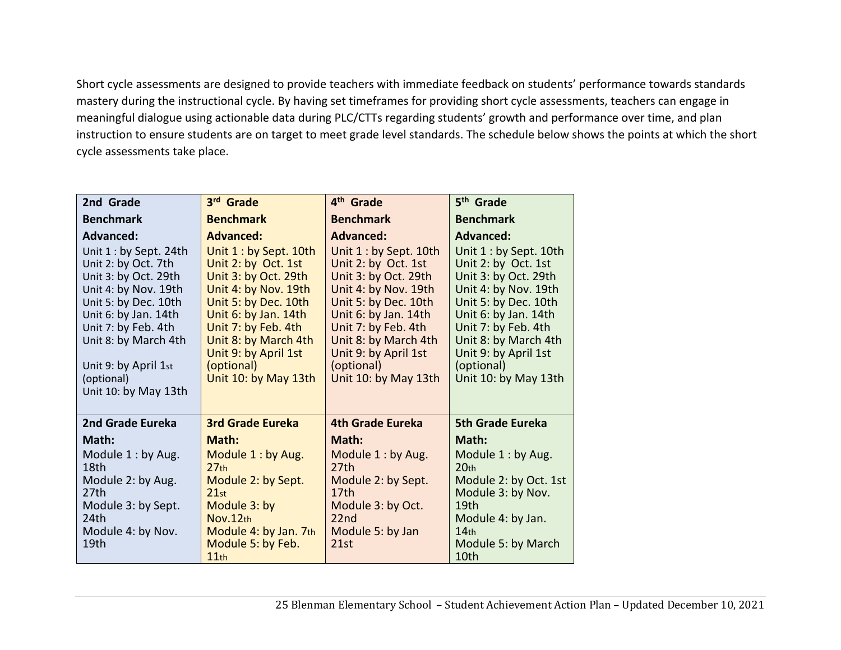Short cycle assessments are designed to provide teachers with immediate feedback on students' performance towards standards mastery during the instructional cycle. By having set timeframes for providing short cycle assessments, teachers can engage in meaningful dialogue using actionable data during PLC/CTTs regarding students' growth and performance over time, and plan instruction to ensure students are on target to meet grade level standards. The schedule below shows the points at which the short cycle assessments take place.

| 2nd Grade                                                                                                                                                                                                                                                                      | 3rd Grade                                                                                                                                                                                                                                                                      | 4 <sup>th</sup> Grade                                                                                                                                                                                                                                                          | 5 <sup>th</sup> Grade                                                                                                                                                                                                                                                          |
|--------------------------------------------------------------------------------------------------------------------------------------------------------------------------------------------------------------------------------------------------------------------------------|--------------------------------------------------------------------------------------------------------------------------------------------------------------------------------------------------------------------------------------------------------------------------------|--------------------------------------------------------------------------------------------------------------------------------------------------------------------------------------------------------------------------------------------------------------------------------|--------------------------------------------------------------------------------------------------------------------------------------------------------------------------------------------------------------------------------------------------------------------------------|
| <b>Benchmark</b>                                                                                                                                                                                                                                                               | <b>Benchmark</b>                                                                                                                                                                                                                                                               | <b>Benchmark</b>                                                                                                                                                                                                                                                               | <b>Benchmark</b>                                                                                                                                                                                                                                                               |
| <b>Advanced:</b><br>Unit 1 : by Sept. 24th<br>Unit 2: by Oct. 7th<br>Unit 3: by Oct. 29th<br>Unit 4: by Nov. 19th<br>Unit 5: by Dec. 10th<br>Unit 6: by Jan. 14th<br>Unit 7: by Feb. 4th<br>Unit 8: by March 4th<br>Unit 9: by April 1st<br>(optional)<br>Unit 10: by May 13th | <b>Advanced:</b><br>Unit 1 : by Sept. 10th<br>Unit 2: by Oct. 1st<br>Unit 3: by Oct. 29th<br>Unit 4: by Nov. 19th<br>Unit 5: by Dec. 10th<br>Unit 6: by Jan. 14th<br>Unit 7: by Feb. 4th<br>Unit 8: by March 4th<br>Unit 9: by April 1st<br>(optional)<br>Unit 10: by May 13th | <b>Advanced:</b><br>Unit 1 : by Sept. 10th<br>Unit 2: by Oct. 1st<br>Unit 3: by Oct. 29th<br>Unit 4: by Nov. 19th<br>Unit 5: by Dec. 10th<br>Unit 6: by Jan. 14th<br>Unit 7: by Feb. 4th<br>Unit 8: by March 4th<br>Unit 9: by April 1st<br>(optional)<br>Unit 10: by May 13th | <b>Advanced:</b><br>Unit 1 : by Sept. 10th<br>Unit 2: by Oct. 1st<br>Unit 3: by Oct. 29th<br>Unit 4: by Nov. 19th<br>Unit 5: by Dec. 10th<br>Unit 6: by Jan. 14th<br>Unit 7: by Feb. 4th<br>Unit 8: by March 4th<br>Unit 9: by April 1st<br>(optional)<br>Unit 10: by May 13th |
| 2nd Grade Eureka                                                                                                                                                                                                                                                               | <b>3rd Grade Eureka</b>                                                                                                                                                                                                                                                        | <b>4th Grade Eureka</b>                                                                                                                                                                                                                                                        | <b>5th Grade Eureka</b>                                                                                                                                                                                                                                                        |
| Math:                                                                                                                                                                                                                                                                          | Math:                                                                                                                                                                                                                                                                          | Math:                                                                                                                                                                                                                                                                          | Math:                                                                                                                                                                                                                                                                          |
| Module 1 : by Aug.<br>18th<br>Module 2: by Aug.<br>27th<br>Module 3: by Sept.<br>24th<br>Module 4: by Nov.<br>19th                                                                                                                                                             | Module 1: by Aug.<br>27 <sub>th</sub><br>Module 2: by Sept.<br>21st<br>Module 3: by<br>Nov.12th<br>Module 4: by Jan. 7th<br>Module 5: by Feb.<br>11th                                                                                                                          | Module 1: by Aug.<br>27th<br>Module 2: by Sept.<br>17 <sub>th</sub><br>Module 3: by Oct.<br>22 <sub>nd</sub><br>Module 5: by Jan<br>21st                                                                                                                                       | Module 1: by Aug.<br>20 <sub>th</sub><br>Module 2: by Oct. 1st<br>Module 3: by Nov.<br>19 <sub>th</sub><br>Module 4: by Jan.<br>14 <sub>th</sub><br>Module 5: by March<br>10th                                                                                                 |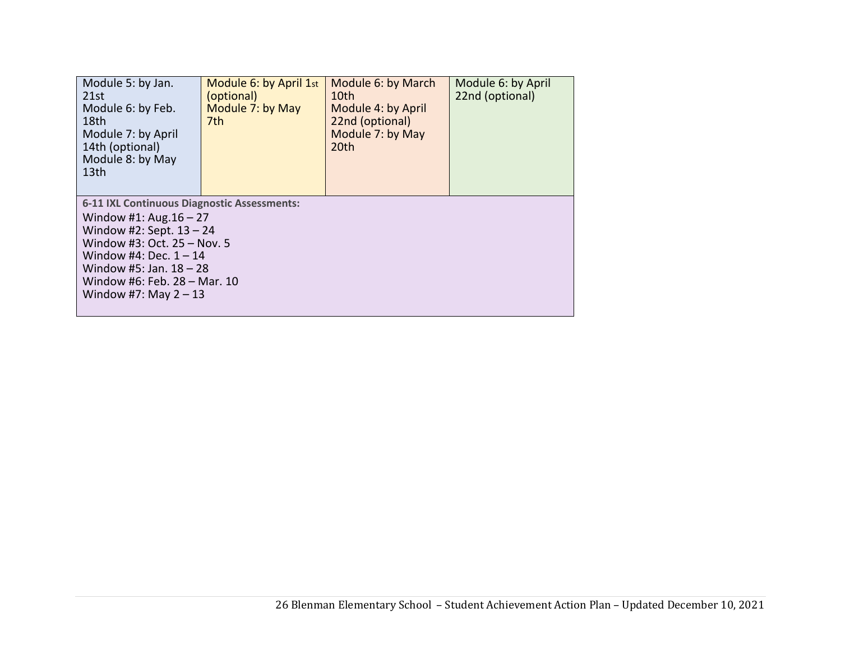| Module 5: by Jan.<br>21st<br>Module 6: by Feb.<br>18th<br>Module 7: by April<br>14th (optional)<br>Module 8: by May<br>13th | Module 6: by April 1st<br>(optional)<br>Module 7: by May<br>7th | Module 6: by March<br>10th<br>Module 4: by April<br>22nd (optional)<br>Module 7: by May<br>20th | Module 6: by April<br>22nd (optional) |  |
|-----------------------------------------------------------------------------------------------------------------------------|-----------------------------------------------------------------|-------------------------------------------------------------------------------------------------|---------------------------------------|--|
| 6-11 IXL Continuous Diagnostic Assessments:<br>Window #1: Aug. $16 - 27$<br>Window #2: Sept. $13 - 24$                      |                                                                 |                                                                                                 |                                       |  |
| Window #3: Oct. $25 -$ Nov. 5<br>Window #4: Dec. $1 - 14$                                                                   |                                                                 |                                                                                                 |                                       |  |
| Window #5: Jan. $18 - 28$                                                                                                   |                                                                 |                                                                                                 |                                       |  |
| Window #6: Feb. 28 - Mar. 10<br>Window #7: May $2 - 13$                                                                     |                                                                 |                                                                                                 |                                       |  |
|                                                                                                                             |                                                                 |                                                                                                 |                                       |  |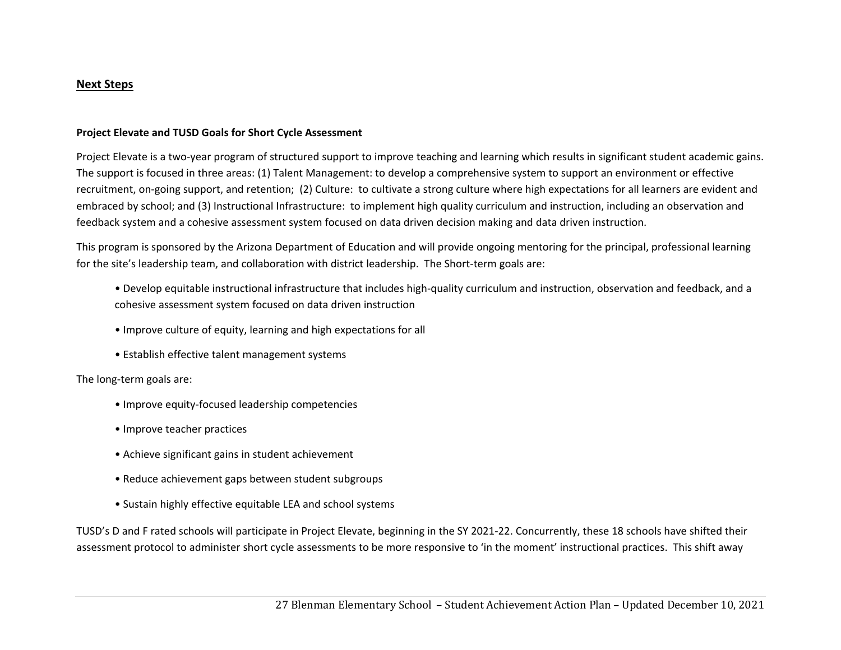#### **Next Steps**

#### **Project Elevate and TUSD Goals for Short Cycle Assessment**

Project Elevate is a two-year program of structured support to improve teaching and learning which results in significant student academic gains. The support is focused in three areas: (1) Talent Management: to develop a comprehensive system to support an environment or effective recruitment, on‐going support, and retention; (2) Culture: to cultivate a strong culture where high expectations for all learners are evident and embraced by school; and (3) Instructional Infrastructure: to implement high quality curriculum and instruction, including an observation and feedback system and a cohesive assessment system focused on data driven decision making and data driven instruction.

This program is sponsored by the Arizona Department of Education and will provide ongoing mentoring for the principal, professional learning for the site's leadership team, and collaboration with district leadership. The Short-term goals are:

- Develop equitable instructional infrastructure that includes high‐quality curriculum and instruction, observation and feedback, and a cohesive assessment system focused on data driven instruction
- Improve culture of equity, learning and high expectations for all
- Establish effective talent management systems

The long‐term goals are:

- Improve equity‐focused leadership competencies
- Improve teacher practices
- Achieve significant gains in student achievement
- Reduce achievement gaps between student subgroups
- Sustain highly effective equitable LEA and school systems

TUSD's D and F rated schools will participate in Project Elevate, beginning in the SY 2021‐22. Concurrently, these 18 schools have shifted their assessment protocol to administer short cycle assessments to be more responsive to 'in the moment' instructional practices. This shift away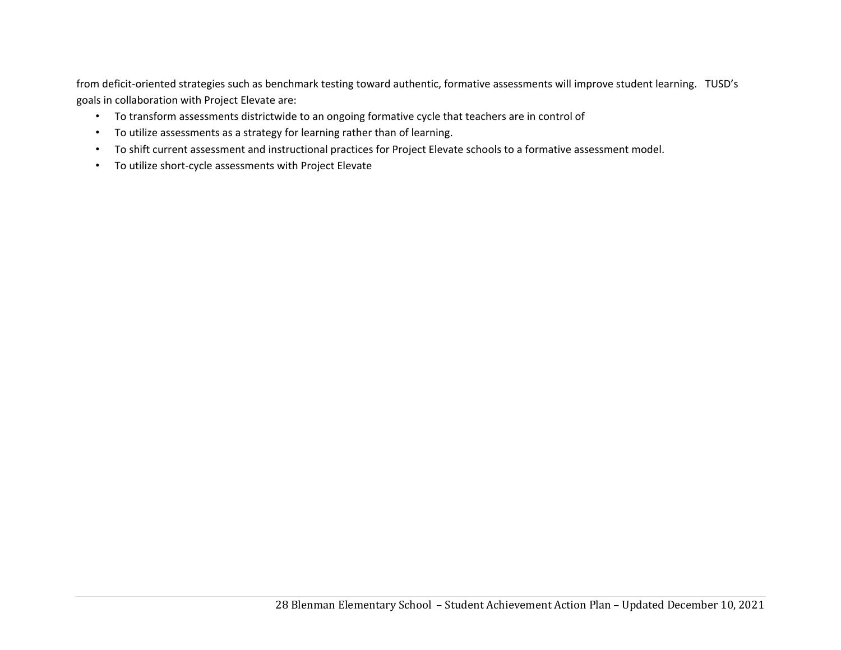from deficit-oriented strategies such as benchmark testing toward authentic, formative assessments will improve student learning. TUSD's goals in collaboration with Project Elevate are:

- To transform assessments districtwide to an ongoing formative cycle that teachers are in control of
- To utilize assessments as a strategy for learning rather than of learning.
- To shift current assessment and instructional practices for Project Elevate schools to a formative assessment model.
- To utilize short‐cycle assessments with Project Elevate